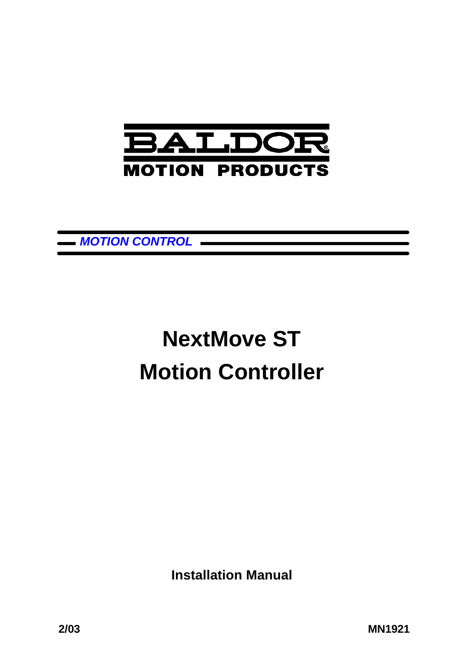

*MOTION CONTROL*

# **NextMove ST Motion Controller**

**Installation Manual**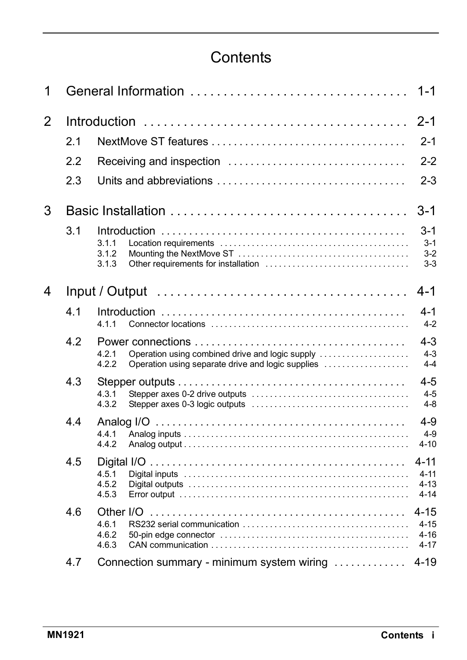## **Contents**

| 1              |     | General Information<br>$1 - 1$                                                                                         |                                    |  |  |
|----------------|-----|------------------------------------------------------------------------------------------------------------------------|------------------------------------|--|--|
| $\overline{2}$ |     |                                                                                                                        |                                    |  |  |
|                | 2.1 |                                                                                                                        | $2 - 1$                            |  |  |
|                | 2.2 | Receiving and inspection                                                                                               | $2 - 2$                            |  |  |
|                | 2.3 |                                                                                                                        | $2 - 3$                            |  |  |
| 3              |     |                                                                                                                        | 3-1                                |  |  |
|                | 3.1 | 3.1.1<br>3.1.2<br>3.1.3                                                                                                | $3 - 1$<br>$3-1$<br>$3-2$<br>$3-3$ |  |  |
| 4              |     | $Input / Output \dots \dots \dots \dots \dots \dots \dots \dots \dots \dots \dots \dots \dots \dots$                   | $4 - 1$                            |  |  |
|                | 4 1 | 4.1.1                                                                                                                  | $4-1$<br>$4 - 2$                   |  |  |
|                | 4.2 | Operation using combined drive and logic supply<br>4.2.1<br>4.2.2<br>Operation using separate drive and logic supplies | $4 - 3$<br>$4 - 3$<br>$4 - 4$      |  |  |
|                | 4.3 | 4.3.1<br>4.3.2                                                                                                         | $4 - 5$<br>$4 - 5$<br>$4 - 8$      |  |  |
|                | 4.4 | 4.4.1<br>4.4.2                                                                                                         | $4 - 9$<br>$4 - 9$<br>$4 - 10$     |  |  |
|                | 4.5 | $4 - 11$<br>4.5.1<br>4.5.2<br>4.5.3                                                                                    | $4 - 11$<br>$4 - 13$<br>$4 - 14$   |  |  |
|                | 4.6 | $4 - 15$<br>Other I/O<br>4.6.1<br>4.6.2<br>4.6.3                                                                       | $4 - 15$<br>$4 - 16$<br>$4 - 17$   |  |  |
|                | 4.7 | Connection summary - minimum system wiring<br>$4 - 19$                                                                 |                                    |  |  |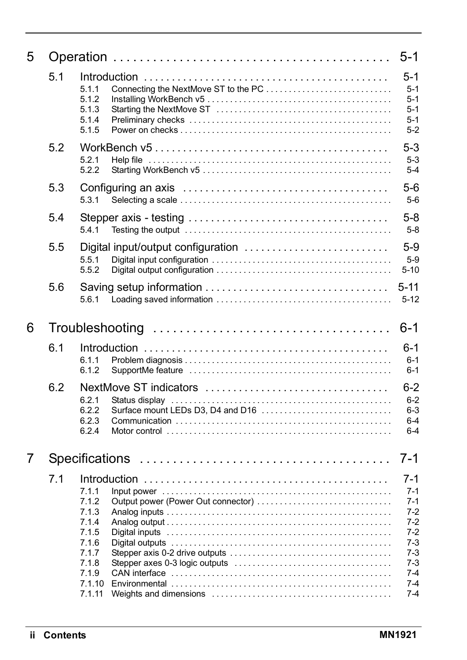| 5 |                       |                                                                                                                                         | $5-1$                                                                                                          |  |  |
|---|-----------------------|-----------------------------------------------------------------------------------------------------------------------------------------|----------------------------------------------------------------------------------------------------------------|--|--|
|   | 5.1                   | Connecting the NextMove ST to the PC<br>5.1.1<br>5.1.2<br>5.1.3<br>5.1.4<br>5.1.5                                                       | 5-1<br>$5-1$<br>$5-1$<br>$5-1$<br>$5 - 1$<br>$5 - 2$                                                           |  |  |
|   | 5.2                   | 5.2.1<br>5.2.2                                                                                                                          | $5-3$<br>$5-3$<br>$5 - 4$                                                                                      |  |  |
|   | 5.3                   | 5.3.1                                                                                                                                   | $5-6$<br>$5-6$                                                                                                 |  |  |
|   | 5.4                   | 5.4.1                                                                                                                                   | $5-8$<br>$5-8$                                                                                                 |  |  |
|   | 5.5                   | 5.5.1<br>5.5.2                                                                                                                          | $5-9$<br>$5-9$<br>$5-10$                                                                                       |  |  |
|   | 5.6                   | 5.6.1                                                                                                                                   | $5 - 11$<br>$5-12$                                                                                             |  |  |
| 6 |                       |                                                                                                                                         | $6 - 1$                                                                                                        |  |  |
|   | 6.1                   | 6.1.1<br>6.1.2                                                                                                                          | 6-1<br>$6 - 1$<br>$6 - 1$                                                                                      |  |  |
|   | 6.2                   | NextMove ST indicators<br>6.2.1<br>6.2.2<br>Surface mount LEDs D3, D4 and D16<br>6.2.3<br>6.2.4                                         | 6-2<br>$6 - 2$<br>$6 - 3$<br>$6 - 4$<br>$6 - 4$                                                                |  |  |
| 7 | <b>Specifications</b> |                                                                                                                                         |                                                                                                                |  |  |
|   | 7.1                   | 7.1.1<br>7.1.2<br>Output power (Power Out connector)<br>7.1.3<br>7.1.4<br>7.1.5<br>7.1.6<br>7.1.7<br>7.1.8<br>7.1.9<br>7.1.10<br>7.1.11 | 7-1<br>$7-1$<br>$7 - 1$<br>$7-2$<br>$7-2$<br>$7-2$<br>$7-3$<br>$7-3$<br>$7-3$<br>$7 - 4$<br>$7 - 4$<br>$7 - 4$ |  |  |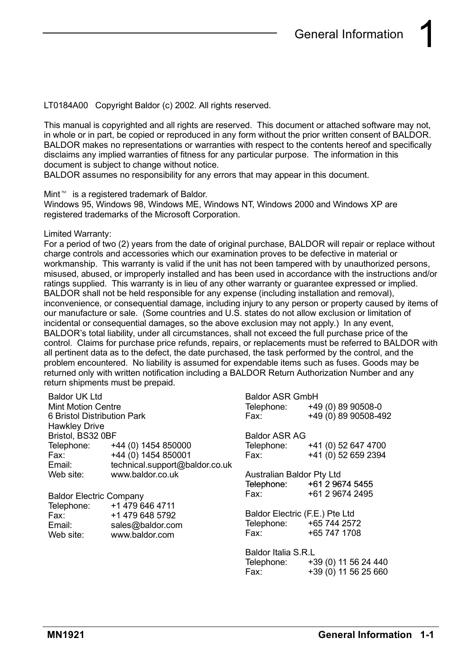LT0184A00 Copyright Baldor (c) 2002. All rights reserved.

This manual is copyrighted and all rights are reserved. This document or attached software may not, in whole or in part, be copied or reproduced in any form without the prior written consent of BALDOR. BALDOR makes no representations or warranties with respect to the contents hereof and specifically disclaims any implied warranties of fitness for any particular purpose. The information in this document is subject to change without notice.

BALDOR assumes no responsibility for any errors that may appear in this document.

Mint<sup>™</sup> is a registered trademark of Baldor.

Windows 95, Windows 98, Windows ME, Windows NT, Windows 2000 and Windows XP are registered trademarks of the Microsoft Corporation.

#### Limited Warranty:

For a period of two (2) years from the date of original purchase, BALDOR will repair or replace without charge controls and accessories which our examination proves to be defective in material or workmanship. This warranty is valid if the unit has not been tampered with by unauthorized persons, misused, abused, or improperly installed and has been used in accordance with the instructions and/or ratings supplied. This warranty is in lieu of any other warranty or guarantee expressed or implied. BALDOR shall not be held responsible for any expense (including installation and removal), inconvenience, or consequential damage, including injury to any person or property caused by items of our manufacture or sale. (Some countries and U.S. states do not allow exclusion or limitation of incidental or consequential damages, so the above exclusion may not apply.) In any event, BALDOR's total liability, under all circumstances, shall not exceed the full purchase price of the control. Claims for purchase price refunds, repairs, or replacements must be referred to BALDOR with all pertinent data as to the defect, the date purchased, the task performed by the control, and the problem encountered. No liability is assumed for expendable items such as fuses. Goods may be returned only with written notification including a BALDOR Return Authorization Number and any return shipments must be prepaid.

| <b>Baldor UK Ltd</b>                                                                                 |                                | <b>Baldor ASR GmbH</b>                                                                               |                                 |
|------------------------------------------------------------------------------------------------------|--------------------------------|------------------------------------------------------------------------------------------------------|---------------------------------|
| <b>Mint Motion Centre</b>                                                                            |                                |                                                                                                      | Telephone: +49 (0) 89 90508-0   |
| 6 Bristol Distribution Park                                                                          |                                | Fax: F                                                                                               | +49 (0) 89 90508-492            |
| <b>Hawkley Drive</b>                                                                                 |                                |                                                                                                      |                                 |
| Bristol, BS32 0BF                                                                                    |                                | <b>Baldor ASR AG</b>                                                                                 |                                 |
|                                                                                                      | Telephone: +44 (0) 1454 850000 |                                                                                                      | Telephone: +41 (0) 52 647 4700  |
| Fax: www.com                                                                                         | +44 (0) 1454 850001            | Fax: The Fax State State State State State State State State State State State State State State Sta | +41 (0) 52 659 2394             |
| Email: The Senator Senator Senator Senator Senator Senator Senator Senator Senator Senator Senator S | technical.support@baldor.co.uk |                                                                                                      |                                 |
| Web site:                                                                                            | www.baldor.co.uk               | Australian Baldor Pty Ltd                                                                            |                                 |
|                                                                                                      |                                |                                                                                                      | Telephone: +61 2 9674 5455      |
| <b>Baldor Electric Company</b>                                                                       |                                | Fax: Fax:                                                                                            | +61 2 9674 2495                 |
| Telephone:                                                                                           | +1 479 646 4711                |                                                                                                      |                                 |
| Fax: The Fax:                                                                                        | +1 479 648 5792                | Baldor Electric (F.E.) Pte Ltd                                                                       |                                 |
| Email:                                                                                               | sales@baldor.com               | Telephone: +65 744 2572                                                                              |                                 |
| Web site:                                                                                            | www.baldor.com                 | Fax: Fax:                                                                                            | +65 747 1708                    |
|                                                                                                      |                                | Baldor Italia S.R.L                                                                                  |                                 |
|                                                                                                      |                                |                                                                                                      | Telephone: +39 (0) 11 56 24 440 |
|                                                                                                      |                                | Fax:                                                                                                 | +39 (0) 11 56 25 660            |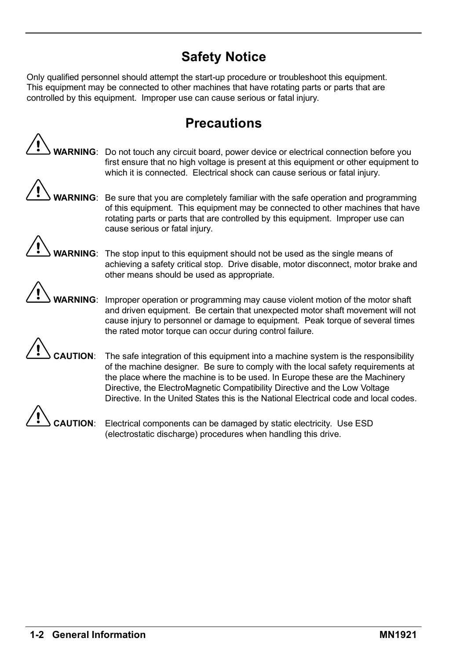## **Safety Notice**

Only qualified personnel should attempt the start-up procedure or troubleshoot this equipment. This equipment may be connected to other machines that have rotating parts or parts that are controlled by this equipment. Improper use can cause serious or fatal injury.

## **Precautions**

**WARNING**: Do not touch any circuit board, power device or electrical connection before you first ensure that no high voltage is present at this equipment or other equipment to which it is connected. Electrical shock can cause serious or fatal injury.



**RNING**: Be sure that you are completely familiar with the safe operation and programming of this equipment. This equipment may be connected to other machines that have rotating parts or parts that are controlled by this equipment. Improper use can cause serious or fatal injury.

**RNING**: The stop input to this equipment should not be used as the single means of achieving a safety critical stop. Drive disable, motor disconnect, motor brake and other means should be used as appropriate.



**WARNING**: Improper operation or programming may cause violent motion of the motor shaft and driven equipment. Be certain that unexpected motor shaft movement will not cause injury to personnel or damage to equipment. Peak torque of several times the rated motor torque can occur during control failure.

**JTION:** The safe integration of this equipment into a machine system is the responsibility of the machine designer. Be sure to comply with the local safety requirements at the place where the machine is to be used. In Europe these are the Machinery Directive, the ElectroMagnetic Compatibility Directive and the Low Voltage Directive. In the United States this is the National Electrical code and local codes.

**CAUTION**: Electrical components can be damaged by static electricity. Use ESD (electrostatic discharge) procedures when handling this drive.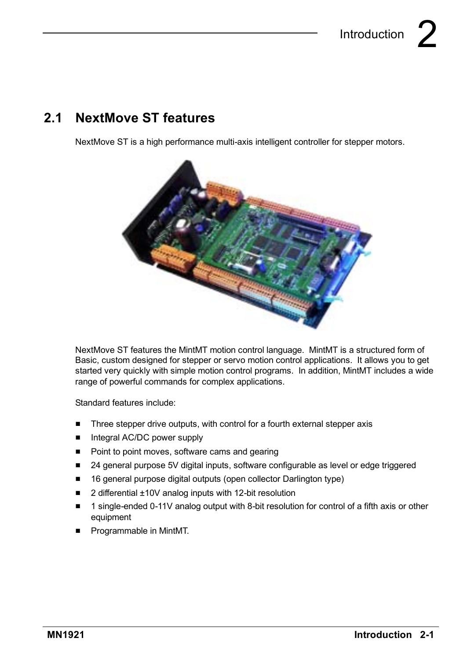## **2.1 NextMove ST features**

NextMove ST is a high performance multi-axis intelligent controller for stepper motors.



NextMove ST features the MintMT motion control language. MintMT is a structured form of Basic, custom designed for stepper or servo motion control applications. It allows you to get started very quickly with simple motion control programs. In addition, MintMT includes a wide range of powerful commands for complex applications.

Standard features include:

- $\blacksquare$  Three stepper drive outputs, with control for a fourth external stepper axis
- $\blacksquare$  Integral AC/DC power supply
- Point to point moves, software cams and gearing
- 24 general purpose 5V digital inputs, software configurable as level or edge triggered
- 16 general purpose digital outputs (open collector Darlington type)
- $\blacksquare$  2 differential  $\pm 10V$  analog inputs with 12-bit resolution
- 1 single-ended 0-11V analog output with 8-bit resolution for control of a fifth axis or other equipment
- **F** Programmable in MintMT.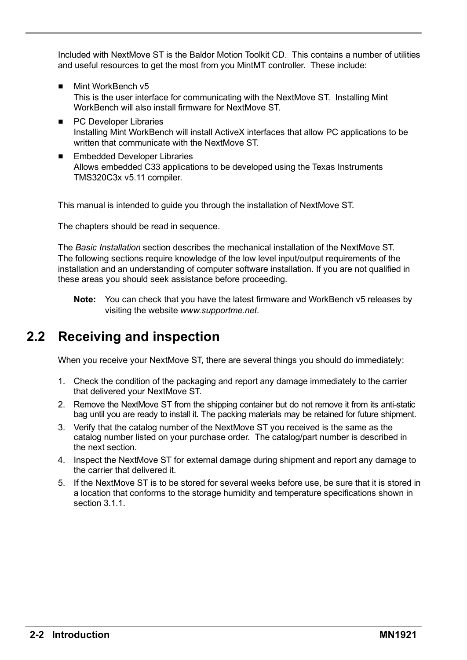Included with NextMove ST is the Baldor Motion Toolkit CD. This contains a number of utilities and useful resources to get the most from you MintMT controller. These include:

- **Mint WorkBench v5** This is the user interface for communicating with the NextMove ST. Installing Mint WorkBench will also install firmware for NextMove ST.
- PC Developer Libraries Installing Mint WorkBench will install ActiveX interfaces that allow PC applications to be written that communicate with the NextMove ST.
- Embedded Developer Libraries Allows embedded C33 applications to be developed using the Texas Instruments TMS320C3x v5.11 compiler.

This manual is intended to guide you through the installation of NextMove ST.

The chapters should be read in sequence.

The *Basic Installation* section describes the mechanical installation of the NextMove ST. The following sections require knowledge of the low level input/output requirements of the installation and an understanding of computer software installation. If you are not qualified in these areas you should seek assistance before proceeding.

**Note:** You can check that you have the latest firmware and WorkBench v5 releases by visiting the website *www.supportme.net*.

## **2.2 Receiving and inspection**

When you receive your NextMove ST, there are several things you should do immediately:

- 1. Check the condition of the packaging and report any damage immediately to the carrier that delivered your NextMove ST.
- 2. Remove the NextMove ST from the shipping container but do not remove it from its anti-static bag until you are ready to install it. The packing materials may be retained for future shipment.
- 3. Verify that the catalog number of the NextMove ST you received is the same as the catalog number listed on your purchase order. The catalog/part number is described in the next section.
- 4. Inspect the NextMove ST for external damage during shipment and report any damage to the carrier that delivered it.
- 5. If the NextMove ST is to be stored for several weeks before use, be sure that it is stored in a location that conforms to the storage humidity and temperature specifications shown in section 3.1.1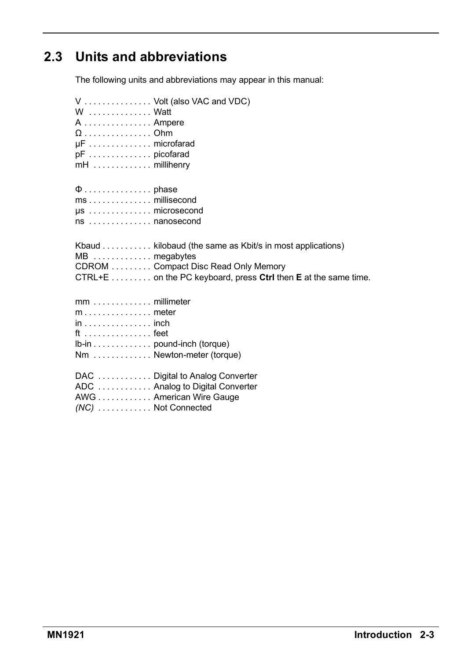## **2.3 Units and abbreviations**

The following units and abbreviations may appear in this manual:

| W Watt<br>A  Ampere<br>$\mu$ F microfarad<br>pF picofarad<br>$mH$ millihenry                      | V  Volt (also VAC and VDC)                                                                                                                                        |
|---------------------------------------------------------------------------------------------------|-------------------------------------------------------------------------------------------------------------------------------------------------------------------|
| $\mu$ s microsecond<br>ns nanosecond                                                              |                                                                                                                                                                   |
| MB  megabytes                                                                                     | Kbaud kilobaud (the same as Kbit/s in most applications)<br>CDROM Compact Disc Read Only Memory<br>CTRL+E on the PC keyboard, press Ctrl then E at the same time. |
| $mm \ldots \ldots \ldots \ldots$ millimeter<br>$in \ldots \ldots \ldots \ldots$ inch<br>$ft$ feet | Ib-in pound-inch (torque)<br>Nm  Newton-meter (torque)                                                                                                            |
| (NC) Not Connected                                                                                | DAC  Digital to Analog Converter<br>ADC  Analog to Digital Converter<br>AWG American Wire Gauge                                                                   |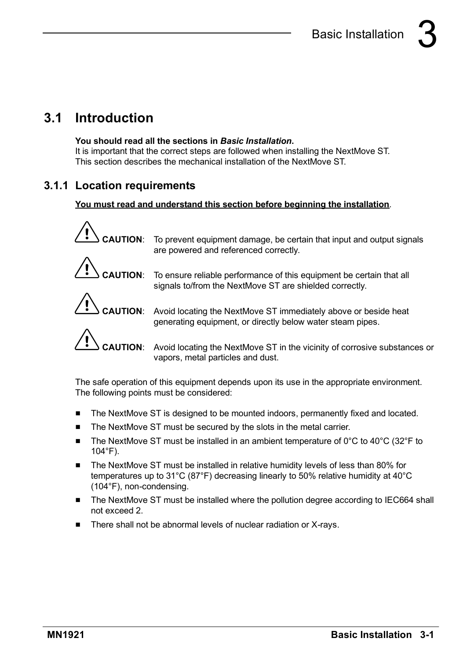## **3.1 Introduction**

#### **You should read all the sections in** *Basic Installation***.**

It is important that the correct steps are followed when installing the NextMove ST. This section describes the mechanical installation of the NextMove ST.

#### **3.1.1 Location requirements**

#### **You must read and understand this section before beginning the installation**.



**CAUTION**: Avoid locating the NextMove ST in the vicinity of corrosive substances or vapors, metal particles and dust.

The safe operation of this equipment depends upon its use in the appropriate environment. The following points must be considered:

- The NextMove ST is designed to be mounted indoors, permanently fixed and located.
- The NextMove ST must be secured by the slots in the metal carrier.
- $\blacksquare$  The NextMove ST must be installed in an ambient temperature of 0°C to 40°C (32°F to 104°F).
- The NextMove ST must be installed in relative humidity levels of less than 80% for temperatures up to 31°C (87°F) decreasing linearly to 50% relative humidity at 40°C (104°F), non-condensing.
- The NextMove ST must be installed where the pollution degree according to IEC664 shall not exceed 2.
- There shall not be abnormal levels of nuclear radiation or X-rays.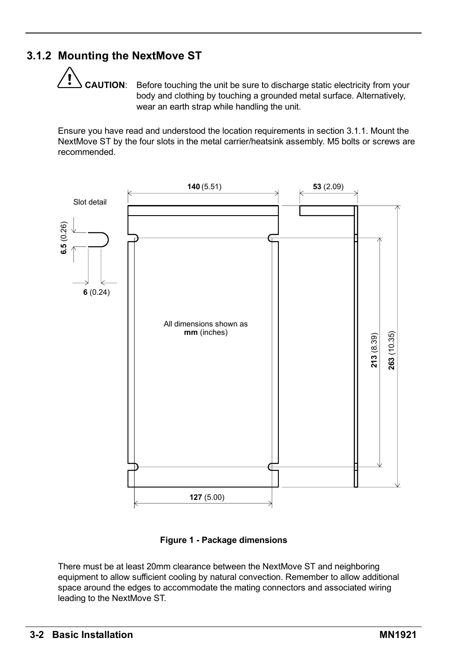### **3.1.2 Mounting the NextMove ST**

**CAUTION**: Before touching the unit be sure to discharge static electricity from your body and clothing by touching a grounded metal surface. Alternatively, wear an earth strap while handling the unit.

Ensure you have read and understood the location requirements in section 3.1.1. Mount the NextMove ST by the four slots in the metal carrier/heatsink assembly. M5 bolts or screws are recommended.



**Figure 1 - Package dimensions**

There must be at least 20mm clearance between the NextMove ST and neighboring equipment to allow sufficient cooling by natural convection. Remember to allow additional space around the edges to accommodate the mating connectors and associated wiring leading to the NextMove ST.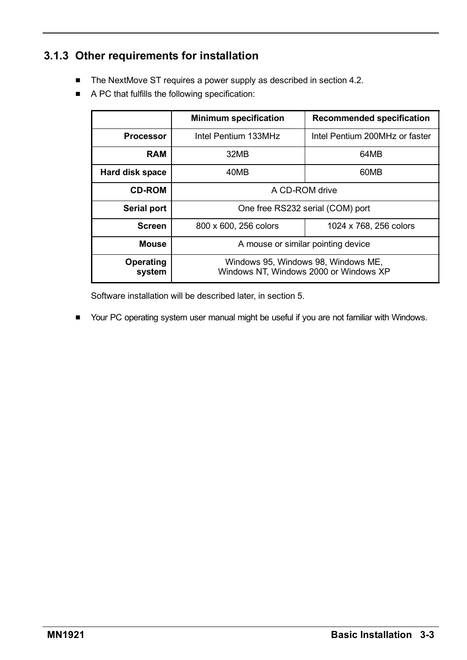### **3.1.3 Other requirements for installation**

- $\blacksquare$  The NextMove ST requires a power supply as described in section 4.2.
- $\blacksquare$  A PC that fulfills the following specification:

|                     | <b>Minimum specification</b>                                                  | <b>Recommended specification</b> |  |
|---------------------|-------------------------------------------------------------------------------|----------------------------------|--|
| <b>Processor</b>    | Intel Pentium 133MHz                                                          | Intel Pentium 200MHz or faster   |  |
| <b>RAM</b>          | 32MB                                                                          | 64MB                             |  |
| Hard disk space     | 40MB                                                                          | 60MB                             |  |
| <b>CD-ROM</b>       | A CD-ROM drive                                                                |                                  |  |
| Serial port         | One free RS232 serial (COM) port                                              |                                  |  |
| <b>Screen</b>       | 800 x 600, 256 colors                                                         | 1024 x 768, 256 colors           |  |
| Mouse               | A mouse or similar pointing device                                            |                                  |  |
| Operating<br>system | Windows 95, Windows 98, Windows ME,<br>Windows NT. Windows 2000 or Windows XP |                                  |  |

Software installation will be described later, in section 5.

H Your PC operating system user manual might be useful if you are not familiar with Windows.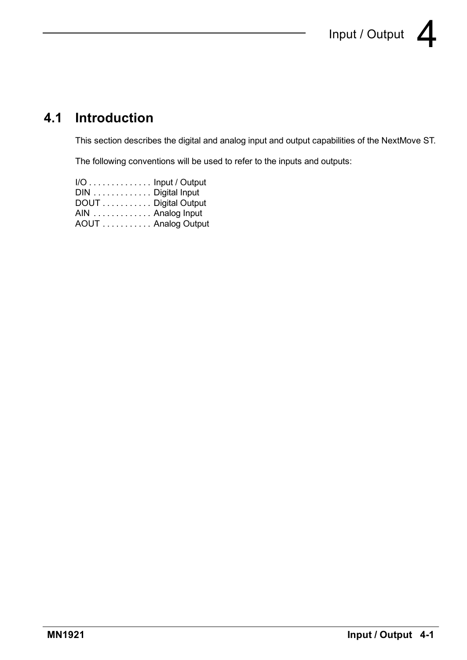## **4.1 Introduction**

This section describes the digital and analog input and output capabilities of the NextMove ST.

The following conventions will be used to refer to the inputs and outputs:

| $I/O$ Input / Output |  |
|----------------------|--|
| DIN Digital Input    |  |
| DOUT  Digital Output |  |
| AIN Analog Input     |  |
| AOUT  Analog Output  |  |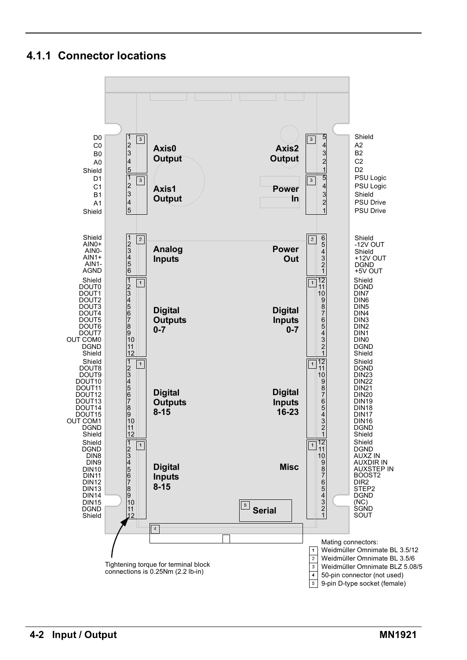#### **4.1.1 Connector locations**

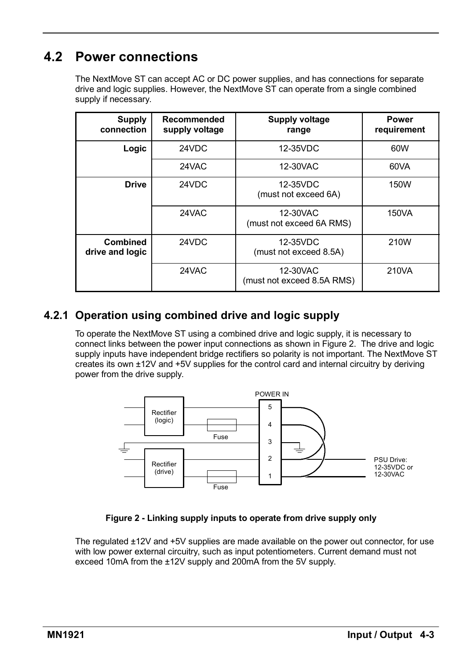## **4.2 Power connections**

The NextMove ST can accept AC or DC power supplies, and has connections for separate drive and logic supplies. However, the NextMove ST can operate from a single combined supply if necessary.

| Supply<br>connection        | Recommended<br>supply voltage | Supply voltage<br>range                | <b>Power</b><br>requirement |
|-----------------------------|-------------------------------|----------------------------------------|-----------------------------|
| Logic                       | 24VDC                         | 12-35VDC                               | 60W                         |
|                             | 24VAC                         | 12-30VAC                               | 60VA                        |
| <b>Drive</b>                | 24VDC                         | 12-35VDC<br>(must not exceed 6A)       | 150W                        |
|                             | 24VAC                         | 12-30VAC<br>(must not exceed 6A RMS)   | 150VA                       |
| Combined<br>drive and logic | 24VDC                         | 12-35VDC<br>(must not exceed 8.5A)     | 210W                        |
|                             | 24VAC                         | 12-30VAC<br>(must not exceed 8.5A RMS) | 210VA                       |

#### **4.2.1 Operation using combined drive and logic supply**

To operate the NextMove ST using a combined drive and logic supply, it is necessary to connect links between the power input connections as shown in Figure 2. The drive and logic supply inputs have independent bridge rectifiers so polarity is not important. The NextMove ST creates its own ±12V and +5V supplies for the control card and internal circuitry by deriving power from the drive supply.



#### **Figure 2 - Linking supply inputs to operate from drive supply only**

The regulated ±12V and +5V supplies are made available on the power out connector, for use with low power external circuitry, such as input potentiometers. Current demand must not exceed 10mA from the ±12V supply and 200mA from the 5V supply.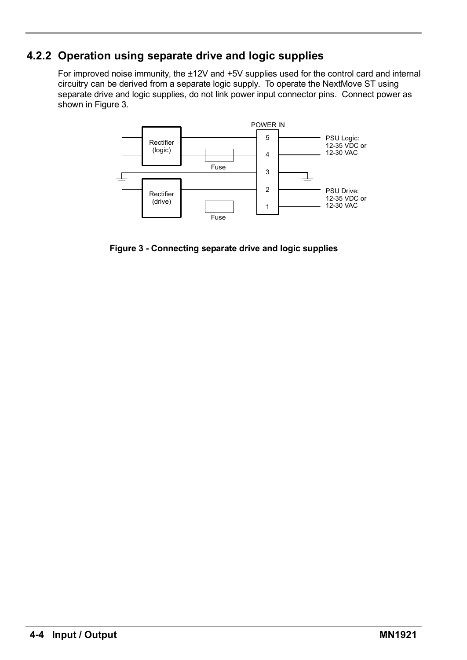#### **4.2.2 Operation using separate drive and logic supplies**

For improved noise immunity, the ±12V and +5V supplies used for the control card and internal circuitry can be derived from a separate logic supply. To operate the NextMove ST using separate drive and logic supplies, do not link power input connector pins. Connect power as shown in Figure 3.



**Figure 3 - Connecting separate drive and logic supplies**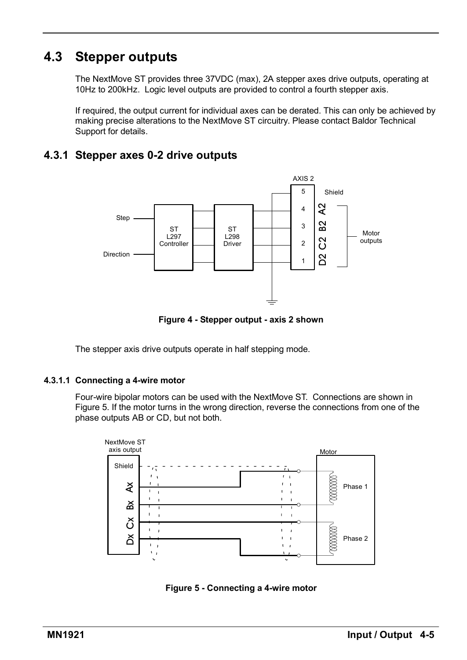## **4.3 Stepper outputs**

The NextMove ST provides three 37VDC (max), 2A stepper axes drive outputs, operating at 10Hz to 200kHz. Logic level outputs are provided to control a fourth stepper axis.

If required, the output current for individual axes can be derated. This can only be achieved by making precise alterations to the NextMove ST circuitry. Please contact Baldor Technical Support for details.

#### **4.3.1 Stepper axes 0-2 drive outputs**



**Figure 4 - Stepper output - axis 2 shown**

The stepper axis drive outputs operate in half stepping mode.

#### **4.3.1.1 Connecting a 4-wire motor**

Four-wire bipolar motors can be used with the NextMove ST. Connections are shown in Figure 5. If the motor turns in the wrong direction, reverse the connections from one of the phase outputs AB or CD, but not both.



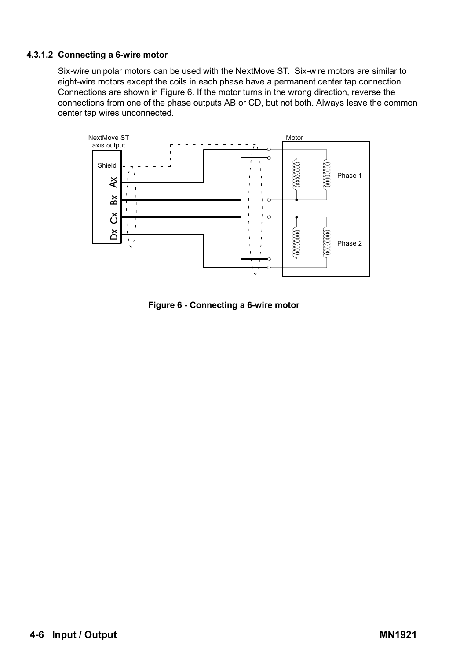#### **4.3.1.2 Connecting a 6-wire motor**

Six-wire unipolar motors can be used with the NextMove ST. Six-wire motors are similar to eight-wire motors except the coils in each phase have a permanent center tap connection. Connections are shown in Figure 6. If the motor turns in the wrong direction, reverse the connections from one of the phase outputs AB or CD, but not both. Always leave the common center tap wires unconnected.



**Figure 6 - Connecting a 6-wire motor**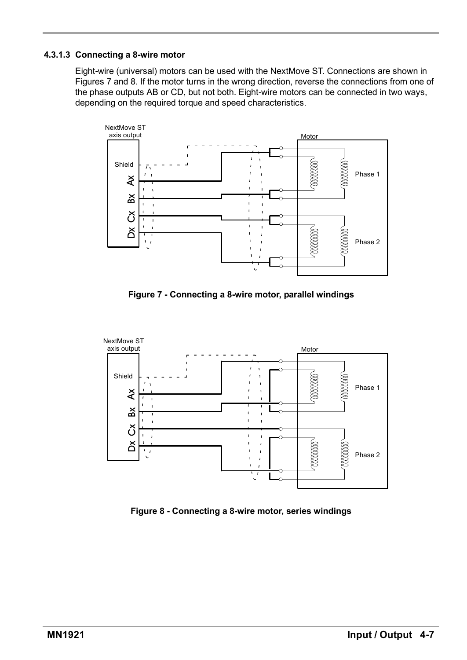#### **4.3.1.3 Connecting a 8-wire motor**

Eight-wire (universal) motors can be used with the NextMove ST. Connections are shown in Figures 7 and 8. If the motor turns in the wrong direction, reverse the connections from one of the phase outputs AB or CD, but not both. Eight-wire motors can be connected in two ways, depending on the required torque and speed characteristics.



**Figure 7 - Connecting a 8-wire motor, parallel windings**



**Figure 8 - Connecting a 8-wire motor, series windings**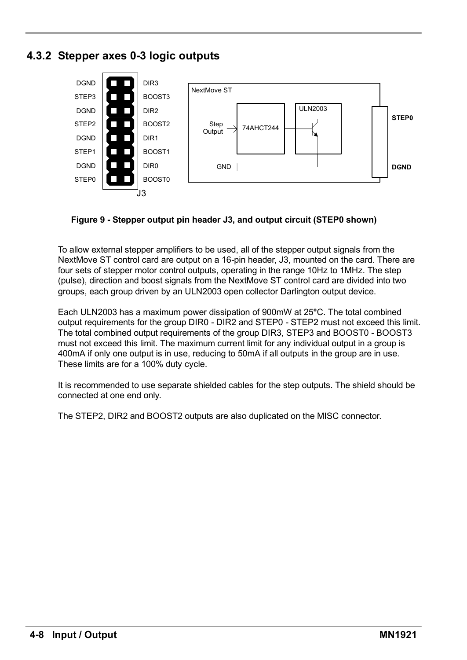#### **4.3.2 Stepper axes 0-3 logic outputs**



#### **Figure 9 - Stepper output pin header J3, and output circuit (STEP0 shown)**

To allow external stepper amplifiers to be used, all of the stepper output signals from the NextMove ST control card are output on a 16-pin header, J3, mounted on the card. There are four sets of stepper motor control outputs, operating in the range 10Hz to 1MHz. The step (pulse), direction and boost signals from the NextMove ST control card are divided into two groups, each group driven by an ULN2003 open collector Darlington output device.

Each ULN2003 has a maximum power dissipation of 900mW at 25**°**C. The total combined output requirements for the group DIR0 - DIR2 and STEP0 - STEP2 must not exceed this limit. The total combined output requirements of the group DIR3, STEP3 and BOOST0 - BOOST3 must not exceed this limit. The maximum current limit for any individual output in a group is 400mA if only one output is in use, reducing to 50mA if all outputs in the group are in use. These limits are for a 100% duty cycle.

It is recommended to use separate shielded cables for the step outputs. The shield should be connected at one end only.

The STEP2, DIR2 and BOOST2 outputs are also duplicated on the MISC connector.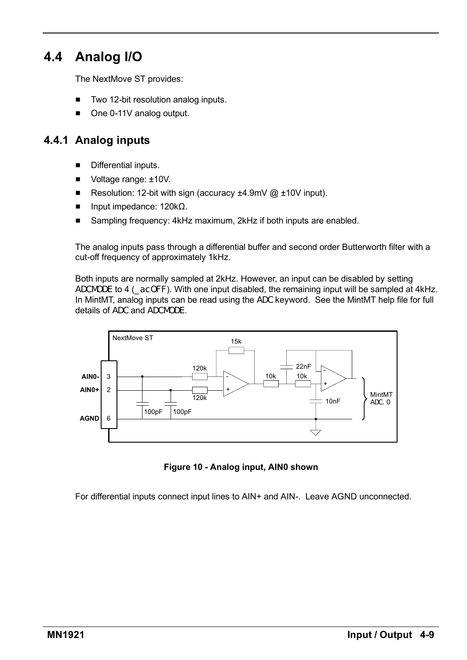## **4.4 Analog I/O**

The NextMove ST provides:

- Two 12-bit resolution analog inputs.
- $\Box$  One 0-11V analog output.

#### **4.4.1 Analog inputs**

- $\blacksquare$  Differential inputs.
- $\blacksquare$  Voltage range:  $\pm 10V$ .
- Resolution: 12-bit with sign (accuracy  $\pm 4.9$ mV @  $\pm 10$ V input).
- Input impedance: 120kΩ.
- Sampling frequency: 4kHz maximum, 2kHz if both inputs are enabled.

The analog inputs pass through a differential buffer and second order Butterworth filter with a cut-off frequency of approximately 1kHz.

Both inputs are normally sampled at 2kHz. However, an input can be disabled by setting ADCMODE to 4 (\_acOFF). With one input disabled, the remaining input will be sampled at 4kHz. In MintMT, analog inputs can be read using the ADC keyword. See the MintMT help file for full details of ADC and ADCMODE.



**Figure 10 - Analog input, AIN0 shown**

For differential inputs connect input lines to AIN+ and AIN-. Leave AGND unconnected.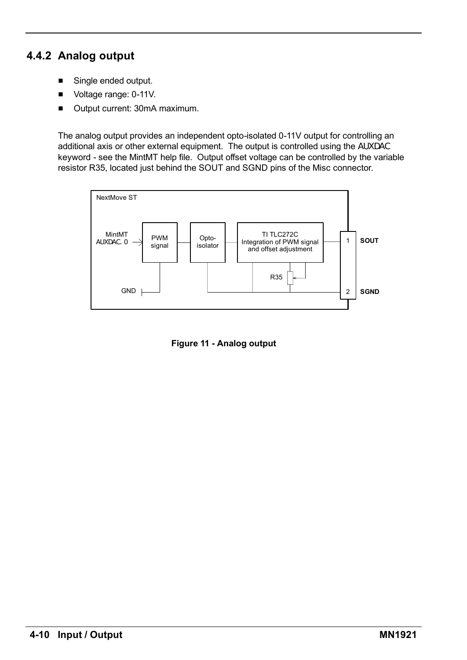### **4.4.2 Analog output**

- $\blacksquare$  Single ended output.
- Voltage range: 0-11V.
- Output current: 30mA maximum.

The analog output provides an independent opto-isolated 0-11V output for controlling an additional axis or other external equipment. The output is controlled using the AUXDAC keyword - see the MintMT help file. Output offset voltage can be controlled by the variable resistor R35, located just behind the SOUT and SGND pins of the Misc connector.



**Figure 11 - Analog output**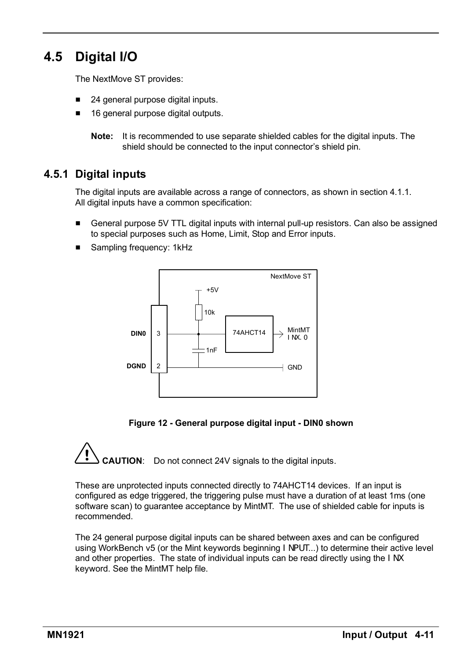## **4.5 Digital I/O**

The NextMove ST provides:

- 24 general purpose digital inputs.
- 16 general purpose digital outputs.

**Note:** It is recommended to use separate shielded cables for the digital inputs. The shield should be connected to the input connector's shield pin.

#### **4.5.1 Digital inputs**

The digital inputs are available across a range of connectors, as shown in section 4.1.1. All digital inputs have a common specification:

- General purpose 5V TTL digital inputs with internal pull-up resistors. Can also be assigned to special purposes such as Home, Limit, Stop and Error inputs.
- Sampling frequency: 1kHz



**Figure 12 - General purpose digital input - DIN0 shown**

**CAUTION**: Do not connect 24V signals to the digital inputs.

These are unprotected inputs connected directly to 74AHCT14 devices. If an input is configured as edge triggered, the triggering pulse must have a duration of at least 1ms (one software scan) to guarantee acceptance by MintMT. The use of shielded cable for inputs is recommended.

The 24 general purpose digital inputs can be shared between axes and can be configured using WorkBench v5 (or the Mint keywords beginning INPUT...) to determine their active level and other properties. The state of individual inputs can be read directly using the INX keyword. See the MintMT help file.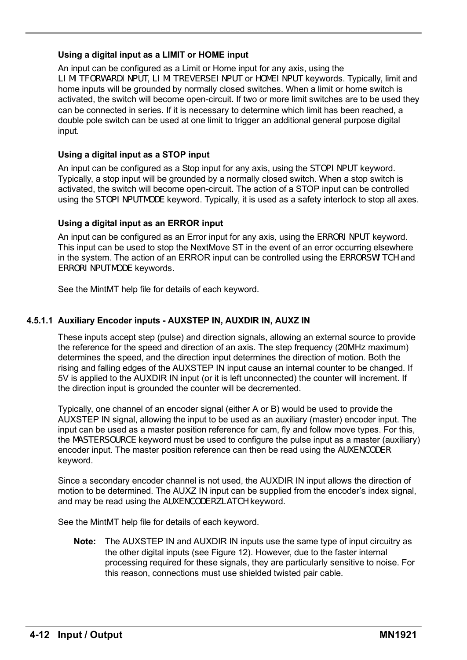#### **Using a digital input as a LIMIT or HOME input**

An input can be configured as a Limit or Home input for any axis, using the LIMITFORWARDINPUT, LIMITREVERSEINPUT or HOMEINPUT keywords. Typically, limit and home inputs will be grounded by normally closed switches. When a limit or home switch is activated, the switch will become open-circuit. If two or more limit switches are to be used they can be connected in series. If it is necessary to determine which limit has been reached, a double pole switch can be used at one limit to trigger an additional general purpose digital input.

#### **Using a digital input as a STOP input**

An input can be configured as a Stop input for any axis, using the STOPINPUT keyword. Typically, a stop input will be grounded by a normally closed switch. When a stop switch is activated, the switch will become open-circuit. The action of a STOP input can be controlled using the STOPI NPUTMODE keyword. Typically, it is used as a safety interlock to stop all axes.

#### **Using a digital input as an ERROR input**

An input can be configured as an Error input for any axis, using the ERRORI NPUT keyword. This input can be used to stop the NextMove ST in the event of an error occurring elsewhere in the system. The action of an ERROR input can be controlled using the ERRORSWITCH and ERRORINPUTMODE keywords.

See the MintMT help file for details of each keyword.

#### **4.5.1.1 Auxiliary Encoder inputs - AUXSTEP IN, AUXDIR IN, AUXZ IN**

These inputs accept step (pulse) and direction signals, allowing an external source to provide the reference for the speed and direction of an axis. The step frequency (20MHz maximum) determines the speed, and the direction input determines the direction of motion. Both the rising and falling edges of the AUXSTEP IN input cause an internal counter to be changed. If 5V is applied to the AUXDIR IN input (or it is left unconnected) the counter will increment. If the direction input is grounded the counter will be decremented.

Typically, one channel of an encoder signal (either A or B) would be used to provide the AUXSTEP IN signal, allowing the input to be used as an auxiliary (master) encoder input. The input can be used as a master position reference for cam, fly and follow move types. For this, the MASTERSOURCE keyword must be used to configure the pulse input as a master (auxiliary) encoder input. The master position reference can then be read using the AUXENCODER keyword.

Since a secondary encoder channel is not used, the AUXDIR IN input allows the direction of motion to be determined. The AUXZ IN input can be supplied from the encoder's index signal, and may be read using the AUXENCODERZLATCH keyword.

See the MintMT help file for details of each keyword.

**Note:** The AUXSTEP IN and AUXDIR IN inputs use the same type of input circuitry as the other digital inputs (see Figure 12). However, due to the faster internal processing required for these signals, they are particularly sensitive to noise. For this reason, connections must use shielded twisted pair cable.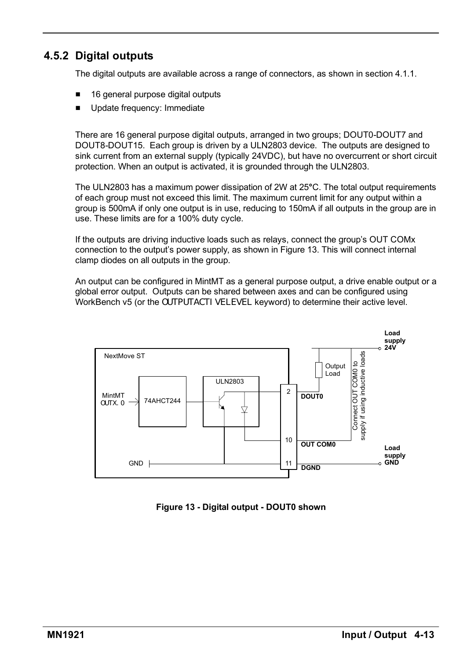#### **4.5.2 Digital outputs**

The digital outputs are available across a range of connectors, as shown in section 4.1.1.

- 16 general purpose digital outputs
- Update frequency: Immediate

There are 16 general purpose digital outputs, arranged in two groups; DOUT0-DOUT7 and DOUT8-DOUT15. Each group is driven by a ULN2803 device. The outputs are designed to sink current from an external supply (typically 24VDC), but have no overcurrent or short circuit protection. When an output is activated, it is grounded through the ULN2803.

The ULN2803 has a maximum power dissipation of 2W at 25**°**C. The total output requirements of each group must not exceed this limit. The maximum current limit for any output within a group is 500mA if only one output is in use, reducing to 150mA if all outputs in the group are in use. These limits are for a 100% duty cycle.

If the outputs are driving inductive loads such as relays, connect the group's OUT COMx connection to the outputís power supply, as shown in Figure 13. This will connect internal clamp diodes on all outputs in the group.

An output can be configured in MintMT as a general purpose output, a drive enable output or a global error output. Outputs can be shared between axes and can be configured using WorkBench v5 (or the OUTPUTACTI VELEVEL keyword) to determine their active level.



**Figure 13 - Digital output - DOUT0 shown**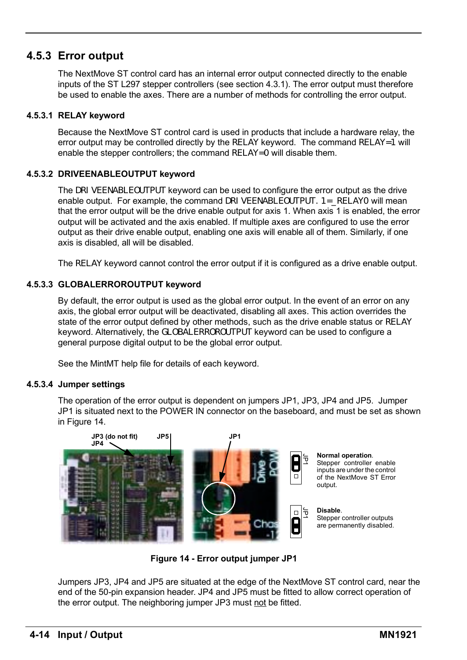#### **4.5.3 Error output**

The NextMove ST control card has an internal error output connected directly to the enable inputs of the ST L297 stepper controllers (see section 4.3.1). The error output must therefore be used to enable the axes. There are a number of methods for controlling the error output.

#### **4.5.3.1 RELAY keyword**

Because the NextMove ST control card is used in products that include a hardware relay, the error output may be controlled directly by the RELAY keyword. The command  $RELAY=1$  will enable the stepper controllers; the command RELAY=0 will disable them.

#### **4.5.3.2 DRIVEENABLEOUTPUT keyword**

The DRIVEENABLEOUTPUT keyword can be used to configure the error output as the drive enable output. For example, the command DRI VEENABLEOUTPUT. 1= RELAY0 will mean that the error output will be the drive enable output for axis 1. When axis 1 is enabled, the error output will be activated and the axis enabled. If multiple axes are configured to use the error output as their drive enable output, enabling one axis will enable all of them. Similarly, if one axis is disabled, all will be disabled.

The RELAY keyword cannot control the error output if it is configured as a drive enable output.

#### **4.5.3.3 GLOBALERROROUTPUT keyword**

By default, the error output is used as the global error output. In the event of an error on any axis, the global error output will be deactivated, disabling all axes. This action overrides the state of the error output defined by other methods, such as the drive enable status or RELAY keyword. Alternatively, the GLOBALERROROUTPUT keyword can be used to configure a general purpose digital output to be the global error output.

See the MintMT help file for details of each keyword.

#### **4.5.3.4 Jumper settings**

The operation of the error output is dependent on jumpers JP1, JP3, JP4 and JP5. Jumper JP1 is situated next to the POWER IN connector on the baseboard, and must be set as shown in Figure 14.



**Figure 14 - Error output jumper JP1**

Jumpers JP3, JP4 and JP5 are situated at the edge of the NextMove ST control card, near the end of the 50-pin expansion header. JP4 and JP5 must be fitted to allow correct operation of the error output. The neighboring jumper JP3 must not be fitted.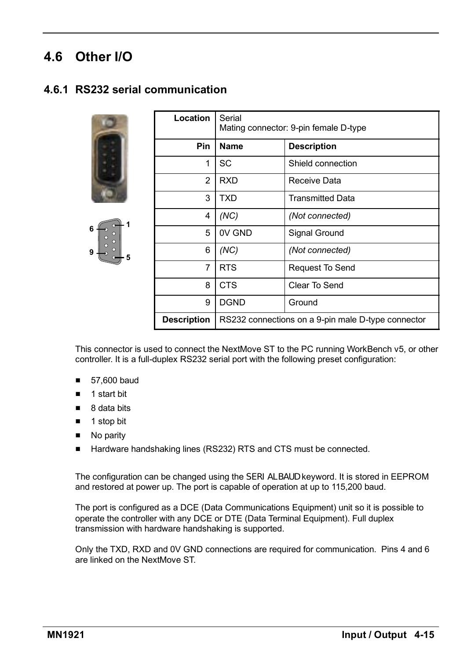## **4.6 Other I/O**

#### **4.6.1 RS232 serial communication**





| Location           | Serial<br>Mating connector: 9-pin female D-type    |                         |
|--------------------|----------------------------------------------------|-------------------------|
| Pin                | Name                                               | <b>Description</b>      |
| 1                  | SC                                                 | Shield connection       |
| 2                  | <b>RXD</b>                                         | Receive Data            |
| 3                  | <b>TXD</b>                                         | <b>Transmitted Data</b> |
| 4                  | (NC)                                               | (Not connected)         |
| 5                  | 0V GND                                             | Signal Ground           |
| 6                  | (NC)                                               | (Not connected)         |
| 7                  | <b>RTS</b>                                         | Request To Send         |
| 8                  | <b>CTS</b>                                         | Clear To Send           |
| 9                  | <b>DGND</b>                                        | Ground                  |
| <b>Description</b> | RS232 connections on a 9-pin male D-type connector |                         |

This connector is used to connect the NextMove ST to the PC running WorkBench v5, or other controller. It is a full-duplex RS232 serial port with the following preset configuration:

- $\blacksquare$  57,600 baud
- $\blacksquare$  1 start bit
- $\blacksquare$  8 data bits
- $\blacksquare$  1 stop bit
- $\blacksquare$  No parity
- Hardware handshaking lines (RS232) RTS and CTS must be connected.

The configuration can be changed using the SERIALBAUD keyword. It is stored in EEPROM and restored at power up. The port is capable of operation at up to 115,200 baud.

The port is configured as a DCE (Data Communications Equipment) unit so it is possible to operate the controller with any DCE or DTE (Data Terminal Equipment). Full duplex transmission with hardware handshaking is supported.

Only the TXD, RXD and 0V GND connections are required for communication. Pins 4 and 6 are linked on the NextMove ST.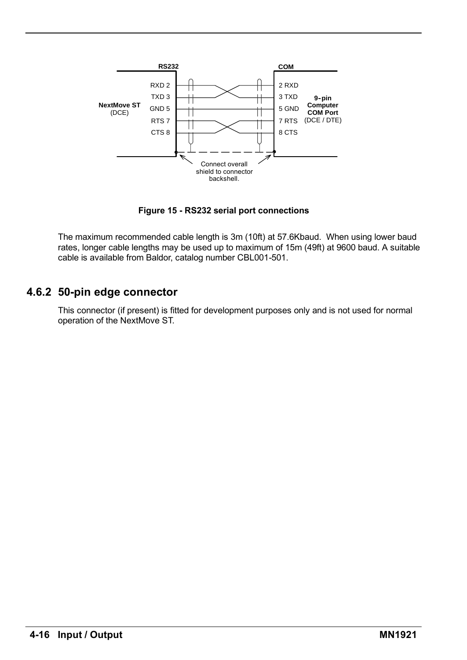

**Figure 15 - RS232 serial port connections**

The maximum recommended cable length is 3m (10ft) at 57.6Kbaud. When using lower baud rates, longer cable lengths may be used up to maximum of 15m (49ft) at 9600 baud. A suitable cable is available from Baldor, catalog number CBL001-501.

#### **4.6.2 50-pin edge connector**

This connector (if present) is fitted for development purposes only and is not used for normal operation of the NextMove ST.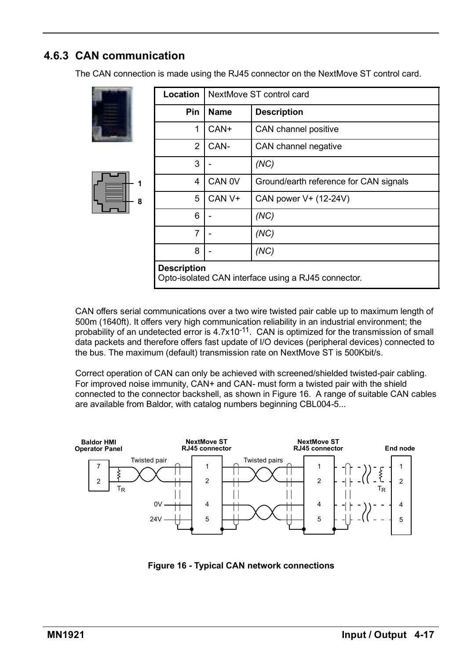### **4.6.3 CAN communication**

The CAN connection is made using the RJ45 connector on the NextMove ST control card.

|        | Location                                                                  | NextMove ST control card |                                        |  |
|--------|---------------------------------------------------------------------------|--------------------------|----------------------------------------|--|
|        | Pin                                                                       | Name                     | <b>Description</b>                     |  |
|        | 1                                                                         | CAN+                     | CAN channel positive                   |  |
| 1<br>8 | 2                                                                         | CAN-                     | CAN channel negative                   |  |
|        | 3                                                                         |                          | (NC)                                   |  |
|        | 4                                                                         | CAN <sub>0V</sub>        | Ground/earth reference for CAN signals |  |
|        | 5                                                                         | CAN <sub>V+</sub>        | CAN power V+ (12-24V)                  |  |
|        | 6                                                                         |                          | (NC)                                   |  |
|        | 7                                                                         |                          | (NC)                                   |  |
|        | 8                                                                         |                          | (NC)                                   |  |
|        | <b>Description</b><br>Opto-isolated CAN interface using a RJ45 connector. |                          |                                        |  |

CAN offers serial communications over a two wire twisted pair cable up to maximum length of 500m (1640ft). It offers very high communication reliability in an industrial environment; the probability of an undetected error is 4.7x10<sup>-11</sup>. CAN is optimized for the transmission of small data packets and therefore offers fast update of I/O devices (peripheral devices) connected to the bus. The maximum (default) transmission rate on NextMove ST is 500Kbit/s.

Correct operation of CAN can only be achieved with screened/shielded twisted-pair cabling. For improved noise immunity, CAN+ and CAN- must form a twisted pair with the shield connected to the connector backshell, as shown in Figure 16. A range of suitable CAN cables are available from Baldor, with catalog numbers beginning CBL004-5...



**Figure 16 - Typical CAN network connections**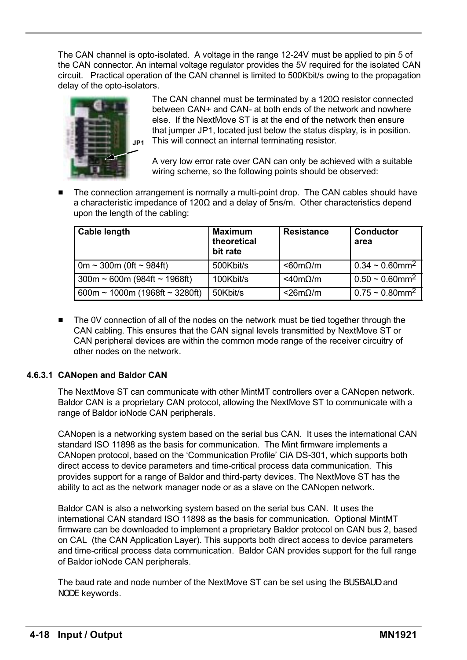The CAN channel is opto-isolated. A voltage in the range 12-24V must be applied to pin 5 of the CAN connector. An internal voltage regulator provides the 5V required for the isolated CAN circuit. Practical operation of the CAN channel is limited to 500Kbit/s owing to the propagation delay of the opto-isolators.



The CAN channel must be terminated by a 120Ω resistor connected between CAN+ and CAN- at both ends of the network and nowhere else. If the NextMove ST is at the end of the network then ensure that jumper JP1, located just below the status display, is in position. This will connect an internal terminating resistor.

A very low error rate over CAN can only be achieved with a suitable wiring scheme, so the following points should be observed:

The connection arrangement is normally a multi-point drop. The CAN cables should have a characteristic impedance of 120Ω and a delay of 5ns/m. Other characteristics depend upon the length of the cabling:

| <b>Cable length</b>               | <b>Maximum</b><br>theoretical<br>bit rate | <b>Resistance</b>   | Conductor<br>area                |
|-----------------------------------|-------------------------------------------|---------------------|----------------------------------|
| 0m ~ 300m (0ft ~ 984ft)           | 500Kbit/s                                 | $< 60 m\Omega/m$    | $0.34 \sim 0.60$ mm <sup>2</sup> |
| $300m \sim 600m$ (984ft ~ 1968ft) | 100Kbit/s                                 | $<$ 40m $\Omega$ /m | $0.50 \sim 0.60$ mm <sup>2</sup> |
| 600m ~ 1000m (1968ft ~ 3280ft)    | 50Kbit/s                                  | $<$ 26m $\Omega$ /m | $0.75 \sim 0.80$ mm <sup>2</sup> |

 $\blacksquare$  The 0V connection of all of the nodes on the network must be tied together through the CAN cabling. This ensures that the CAN signal levels transmitted by NextMove ST or CAN peripheral devices are within the common mode range of the receiver circuitry of other nodes on the network.

#### **4.6.3.1 CANopen and Baldor CAN**

The NextMove ST can communicate with other MintMT controllers over a CANopen network. Baldor CAN is a proprietary CAN protocol, allowing the NextMove ST to communicate with a range of Baldor ioNode CAN peripherals.

CANopen is a networking system based on the serial bus CAN. It uses the international CAN standard ISO 11898 as the basis for communication. The Mint firmware implements a CANopen protocol, based on the ëCommunication Profileí CiA DS-301, which supports both direct access to device parameters and time-critical process data communication. This provides support for a range of Baldor and third-party devices. The NextMove ST has the ability to act as the network manager node or as a slave on the CANopen network.

Baldor CAN is also a networking system based on the serial bus CAN. It uses the international CAN standard ISO 11898 as the basis for communication. Optional MintMT firmware can be downloaded to implement a proprietary Baldor protocol on CAN bus 2, based on CAL (the CAN Application Layer). This supports both direct access to device parameters and time-critical process data communication. Baldor CAN provides support for the full range of Baldor ioNode CAN peripherals.

The baud rate and node number of the NextMove ST can be set using the BUSBAUD and NODE keywords.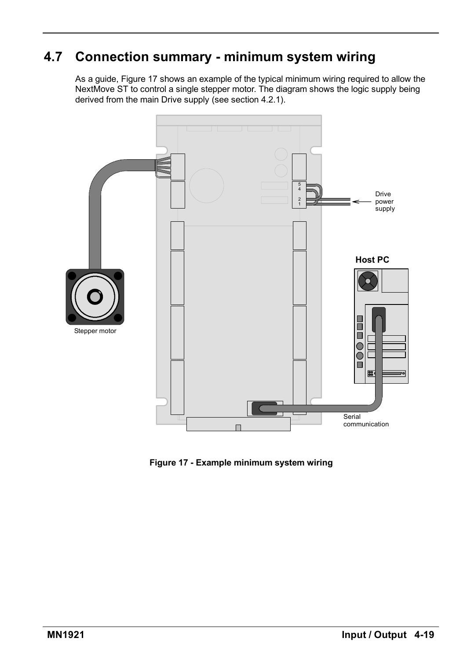## **4.7 Connection summary - minimum system wiring**

As a guide, Figure 17 shows an example of the typical minimum wiring required to allow the NextMove ST to control a single stepper motor. The diagram shows the logic supply being derived from the main Drive supply (see section 4.2.1).



**Figure 17 - Example minimum system wiring**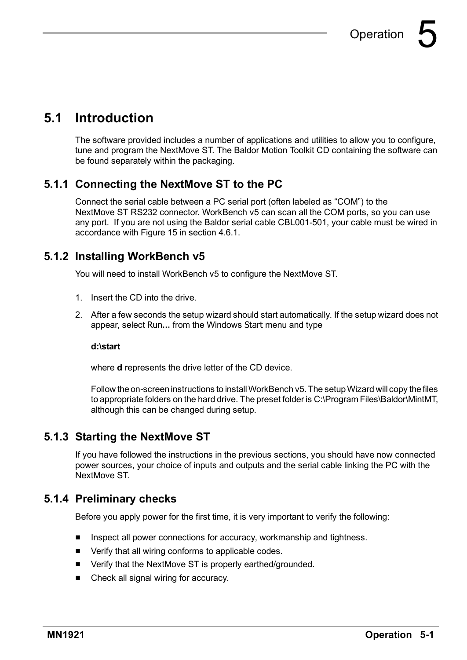## **5.1 Introduction**

The software provided includes a number of applications and utilities to allow you to configure, tune and program the NextMove ST. The Baldor Motion Toolkit CD containing the software can be found separately within the packaging.

#### **5.1.1 Connecting the NextMove ST to the PC**

Connect the serial cable between a PC serial port (often labeled as "COM") to the NextMove ST RS232 connector. WorkBench v5 can scan all the COM ports, so you can use any port. If you are not using the Baldor serial cable CBL001-501, your cable must be wired in accordance with Figure 15 in section 4.6.1.

#### **5.1.2 Installing WorkBench v5**

You will need to install WorkBench v5 to configure the NextMove ST.

- 1. Insert the CD into the drive.
- 2. After a few seconds the setup wizard should start automatically. If the setup wizard does not appear, select Run... from the Windows Start menu and type

#### **d:\start**

where **d** represents the drive letter of the CD device.

Follow the on-screen instructions to installWorkBench v5. The setupWizard will copy the files to appropriate folders on the hard drive. The preset folder is C:\Program Files\Baldor\MintMT, although this can be changed during setup.

#### **5.1.3 Starting the NextMove ST**

If you have followed the instructions in the previous sections, you should have now connected power sources, your choice of inputs and outputs and the serial cable linking the PC with the NextMove ST.

#### **5.1.4 Preliminary checks**

Before you apply power for the first time, it is very important to verify the following:

- $\blacksquare$  Inspect all power connections for accuracy, workmanship and tightness.
- $\blacksquare$  Verify that all wiring conforms to applicable codes.
- Verify that the NextMove ST is properly earthed/grounded.
- $\blacksquare$  Check all signal wiring for accuracy.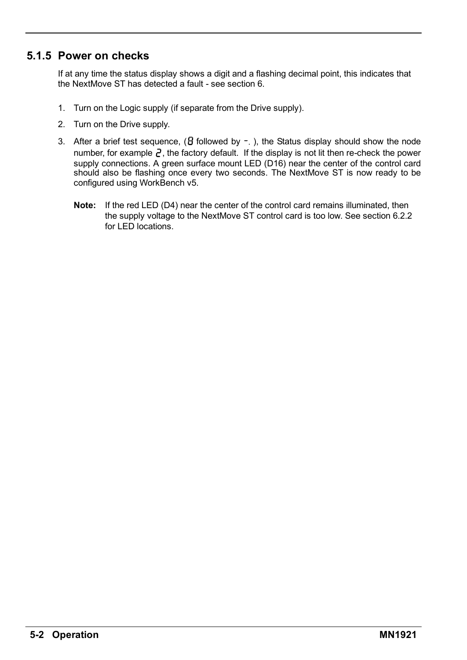#### **5.1.5 Power on checks**

If at any time the status display shows a digit and a flashing decimal point, this indicates that the NextMove ST has detected a fault - see section 6.

- 1. Turn on the Logic supply (if separate from the Drive supply).
- 2. Turn on the Drive supply.
- 3. After a brief test sequence,  $($  followed by  $-$ ,  $)$ , the Status display should show the node number, for example  $\vec{e}$ , the factory default. If the display is not lit then re-check the power supply connections. A green surface mount LED (D16) near the center of the control card should also be flashing once every two seconds. The NextMove ST is now ready to be configured using WorkBench v5.
	- **Note:** If the red LED (D4) near the center of the control card remains illuminated, then the supply voltage to the NextMove ST control card is too low. See section 6.2.2 for LED locations.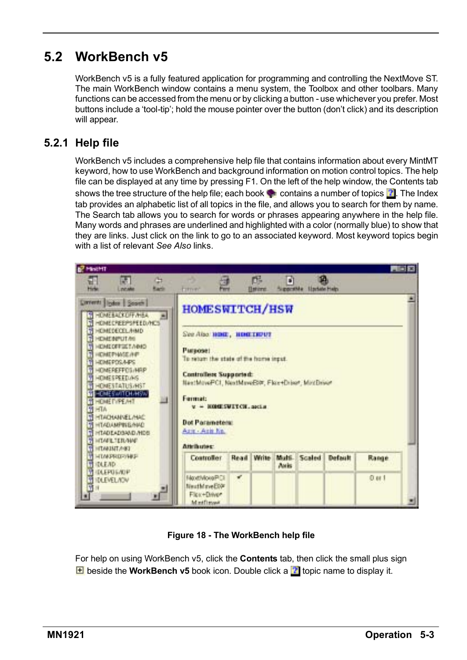## **5.2 WorkBench v5**

WorkBench v5 is a fully featured application for programming and controlling the NextMove ST. The main WorkBench window contains a menu system, the Toolbox and other toolbars. Many functions can be accessed from the menu or by clicking a button - use whichever you prefer. Most buttons include a 'tool-tip'; hold the mouse pointer over the button (don't click) and its description will appear.

#### **5.2.1 Help file**

WorkBench v5 includes a comprehensive help file that contains information about every MintMT keyword, how to use WorkBench and background information on motion control topics. The help file can be displayed at any time by pressing F1. On the left of the help window, the Contents tab shows the tree structure of the help file; each book  $\blacksquare$  contains a number of topics  $\blacksquare$ . The Index tab provides an alphabetic list of all topics in the file, and allows you to search for them by name. The Search tab allows you to search for words or phrases appearing anywhere in the help file. Many words and phrases are underlined and highlighted with a color (normally blue) to show that they are links. Just click on the link to go to an associated keyword. Most keyword topics begin with a list of relevant *See Also* links.



**Figure 18 - The WorkBench help file**

For help on using WorkBench v5, click the **Contents** tab, then click the small plus sign **E** beside the **WorkBench v5** book icon. Double click a **th** topic name to display it.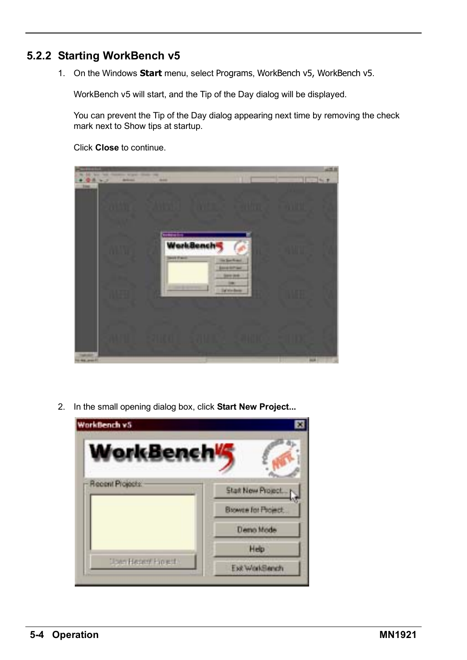#### **5.2.2 Starting WorkBench v5**

1. On the Windows **Start** menu, select Programs, WorkBench v5, WorkBench v5.

WorkBench v5 will start, and the Tip of the Day dialog will be displayed.

You can prevent the Tip of the Day dialog appearing next time by removing the check mark next to Show tips at startup.

Click **Close** to continue.

|                                                                                                                                         | 421.00 |
|-----------------------------------------------------------------------------------------------------------------------------------------|--------|
| \$40 Well-Tell President Artists, Street Like<br>۰<br>$+0.0 - 3$<br><b>The Contract</b><br><b>But #</b><br><b>Arking</b><br><b>BANK</b> |        |
| <b>Simple</b>                                                                                                                           |        |
| ستنبذ<br><b>WorkBench</b><br><b>Seven President</b><br>the family state<br><b>Environment</b>                                           |        |
| <b>CONTRACT</b><br>m<br>To we have                                                                                                      |        |
| <b>ALL</b><br><b>Thomas AM</b>                                                                                                          |        |

2. In the small opening dialog box, click **Start New Project...**

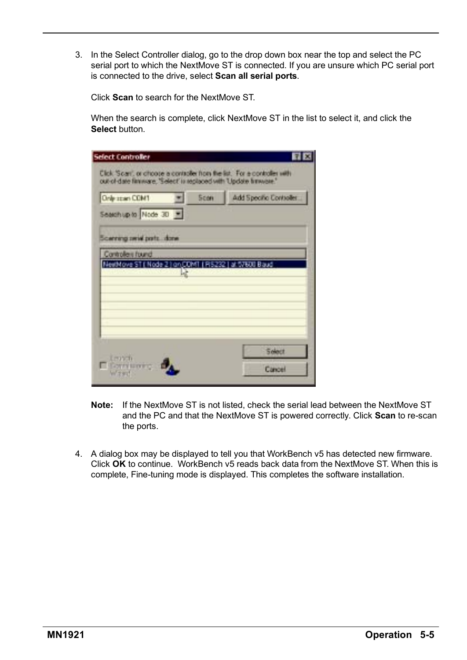3. In the Select Controller dialog, go to the drop down box near the top and select the PC serial port to which the NextMove ST is connected. If you are unsure which PC serial port is connected to the drive, select **Scan all serial ports**.

Click **Scan** to search for the NextMove ST.

When the search is complete, click NextMove ST in the list to select it, and click the **Select** button

| Only span COM1            | Scon                                                        | Add Specific Controller |
|---------------------------|-------------------------------------------------------------|-------------------------|
| Seatch up to Node 30      |                                                             |                         |
| Scenning pend ports, done |                                                             |                         |
| Controllers found         |                                                             |                         |
|                           | NewMove ST ( Node 2 ) an COMT ( R5232 ) at 57600 Baud<br>Lè |                         |
|                           |                                                             |                         |
|                           |                                                             |                         |
|                           |                                                             |                         |
|                           |                                                             |                         |

- **Note:** If the NextMove ST is not listed, check the serial lead between the NextMove ST and the PC and that the NextMove ST is powered correctly. Click **Scan** to re-scan the ports.
- 4. A dialog box may be displayed to tell you that WorkBench v5 has detected new firmware. Click **OK** to continue. WorkBench v5 reads back data from the NextMove ST. When this is complete, Fine-tuning mode is displayed. This completes the software installation.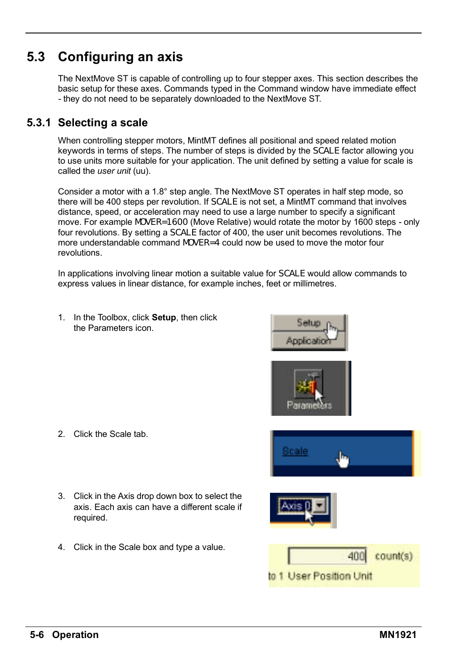## **5.3 Configuring an axis**

The NextMove ST is capable of controlling up to four stepper axes. This section describes the basic setup for these axes. Commands typed in the Command window have immediate effect - they do not need to be separately downloaded to the NextMove ST.

#### **5.3.1 Selecting a scale**

When controlling stepper motors, MintMT defines all positional and speed related motion keywords in terms of steps. The number of steps is divided by the SCALE factor allowing you to use units more suitable for your application. The unit defined by setting a value for scale is called the *user unit* (uu).

Consider a motor with a 1.8° step angle. The NextMove ST operates in half step mode, so there will be 400 steps per revolution. If SCALE is not set, a MintMT command that involves distance, speed, or acceleration may need to use a large number to specify a significant move. For example MOVER=1600 (Move Relative) would rotate the motor by 1600 steps - only four revolutions. By setting a SCALE factor of 400, the user unit becomes revolutions. The more understandable command MOVER=4 could now be used to move the motor four revolutions.

In applications involving linear motion a suitable value for SCALE would allow commands to express values in linear distance, for example inches, feet or millimetres.

1. In the Toolbox, click **Setup**, then click the Parameters icon.

2. Click the Scale tab.

required.



4. Click in the Scale box and type a value.

3. Click in the Axis drop down box to select the axis. Each axis can have a different scale if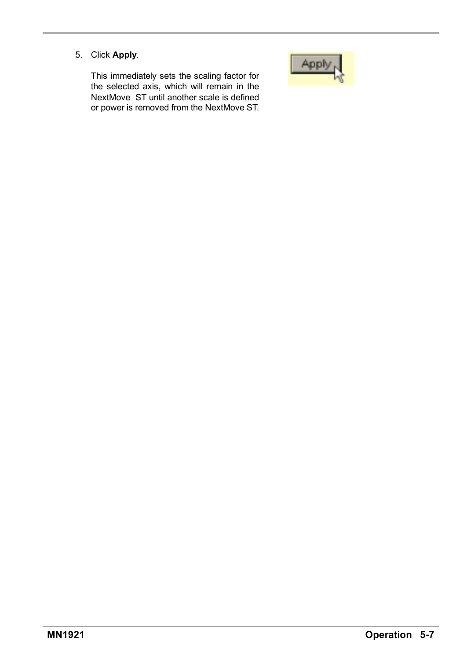5. Click **Apply**.

This immediately sets the scaling factor for the selected axis, which will remain in the NextMove ST until another scale is defined or power is removed from the NextMove ST.

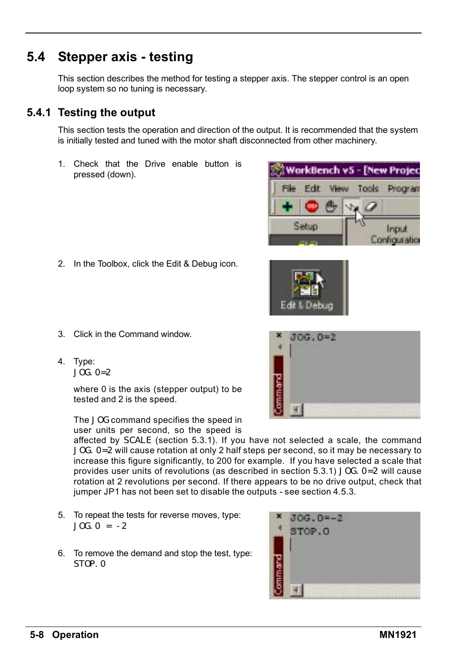## **5.4 Stepper axis - testing**

This section describes the method for testing a stepper axis. The stepper control is an open loop system so no tuning is necessary.

#### **5.4.1 Testing the output**

This section tests the operation and direction of the output. It is recommended that the system is initially tested and tuned with the motor shaft disconnected from other machinery.

1. Check that the Drive enable button is pressed (down).

2. In the Toolbox, click the Edit & Debug icon.

- WorkBench v5 [New Proje Edit View Tools Program Setup Input Configuration
- 
- 
- 3. Click in the Command window.
- 4. Type: JOG.0=2

where 0 is the axis (stepper output) to be tested and 2 is the speed.

The JOG command specifies the speed in user units per second, so the speed is

affected by SCALE (section 5.3.1). If you have not selected a scale, the command JOG. 0=2 will cause rotation at only 2 half steps per second, so it may be necessary to increase this figure significantly, to 200 for example. If you have selected a scale that provides user units of revolutions (as described in section  $5.3.1$ ) JOG.  $0=2$  will cause rotation at 2 revolutions per second. If there appears to be no drive output, check that jumper JP1 has not been set to disable the outputs - see section 4.5.3.

- 5. To repeat the tests for reverse moves, type:  $JOC_0 = -2$
- 6. To remove the demand and stop the test, type: STOP.0



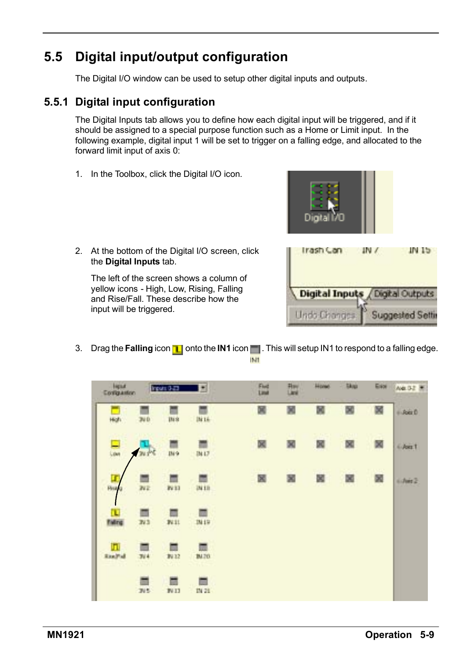## **5.5 Digital input/output configuration**

The Digital I/O window can be used to setup other digital inputs and outputs.

#### **5.5.1 Digital input configuration**

The Digital Inputs tab allows you to define how each digital input will be triggered, and if it should be assigned to a special purpose function such as a Home or Limit input. In the following example, digital input 1 will be set to trigger on a falling edge, and allocated to the forward limit input of axis 0:

1. In the Toolbox, click the Digital I/O icon.



2. At the bottom of the Digital I/O screen, click the **Digital Inputs** tab.

The left of the screen shows a column of yellow icons - High, Low, Rising, Falling and Rise/Fall. These describe how the input will be triggered.



3. Drag the **Falling** icon **n** onto the **IN1** icon **n**. This will setup IN1 to respond to a falling edge. **IMT** 

| Higaut<br>Congaston  |                     | Input: 3-23      | ž.                | Flod | 础 | <b>Hone</b> | <b>Skap</b> | Evid | Ave. 3-2 W |
|----------------------|---------------------|------------------|-------------------|------|---|-------------|-------------|------|------------|
| High                 | 300                 | IN <sub>8</sub>  | <b>Bi16</b>       | 図    | 8 | ×           | 國           | 國    | $+$ Axis D |
| Lion                 | av s <sup>ing</sup> | IN9              | IN L7             | 図    | × | ×           | 図           | 図    | 6.Astt 1   |
| ц<br><b>Hyst</b>     | ш<br>WE             | 141              | Will              | 國    |   | ×           | 図           | 國    | 6 Juin 2   |
| т<br><b>Falling</b>  | п<br>N3             | IV11             | <b>IN19</b>       |      |   |             |             |      |            |
| ш<br><b>River Ad</b> | ▬<br>304            | ш<br><b>JV12</b> | 皿<br><b>IN.70</b> |      |   |             |             |      |            |
|                      | N5                  | ▬<br>IV13        | IN 21             |      |   |             |             |      |            |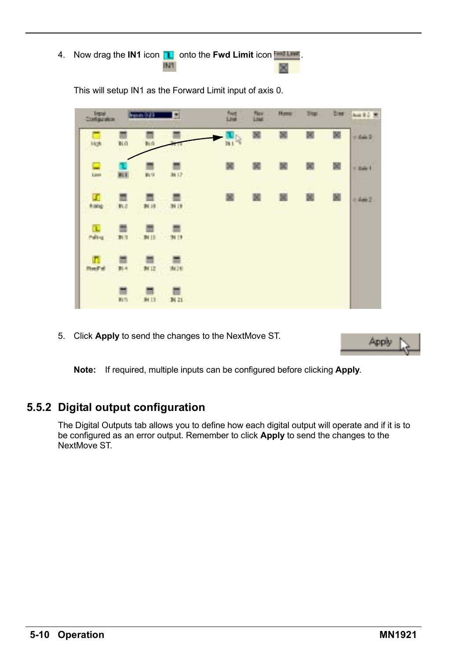4. Now drag the **IN1** icon **1** onto the **Fwd Limit** icon **Figure**. IN1

| <b>Tripe</b><br>Configuration |                 | Ferrari 0.23    | 뾔               | 謡  | 疆 | Home: | <b>Disp</b> | bu - | Aut 82 M |
|-------------------------------|-----------------|-----------------|-----------------|----|---|-------|-------------|------|----------|
| Hot                           | 新庄              | 胎盘              |                 | 鳳尾 | 図 | ×     | ж           | 國    | o dak B  |
| 묘                             | <b>BLT</b>      | BLG.            | <b>BE12</b>     | 罢  | 罢 | 國     | 闔           | 闔    | 1.4461   |
| œ<br><b><i>I</i></b> range    | ٠<br>教宗         | <b>BL19</b>     | 3418            | 墨  | 習 | 図     | 闔           | 闔    | $+402$   |
| α<br><b>Pulling</b>           | ₩<br>料理         | ≡<br>94 II      | 34 19 C         |    |   |       |             |      |          |
| п<br><b>District of</b>       | π<br>副市         | ▦<br><b>M12</b> | 3426            |    |   |       |             |      |          |
|                               | ▦<br><b>BUS</b> | <b>B113</b>     | N <sub>21</sub> |    |   |       |             |      |          |

This will setup IN1 as the Forward Limit input of axis 0.

5. Click **Apply** to send the changes to the NextMove ST.

**Note:** If required, multiple inputs can be configured before clicking **Apply**.

#### **5.5.2 Digital output configuration**

The Digital Outputs tab allows you to define how each digital output will operate and if it is to be configured as an error output. Remember to click **Apply** to send the changes to the NextMove ST.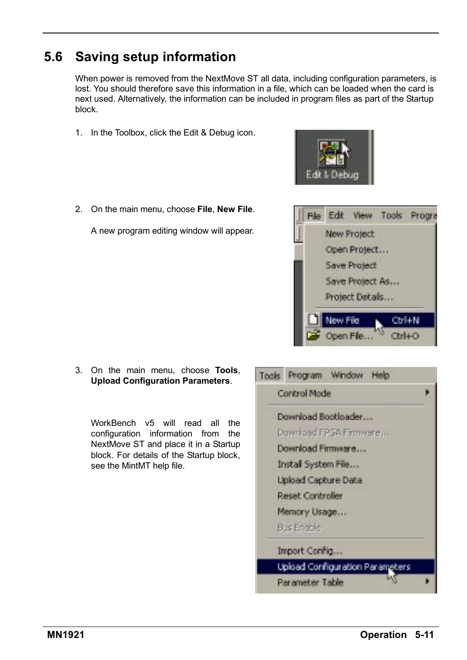

## **5.6 Saving setup information**

When power is removed from the NextMove ST all data, including configuration parameters, is lost. You should therefore save this information in a file, which can be loaded when the card is next used. Alternatively, the information can be included in program files as part of the Startup block.

- 1. In the Toolbox, click the Edit & Debug icon.
- 2. On the main menu, choose **File**, **New File**.

A new program editing window will appear.

- Tools Program Window Help Control Mode Download Bootloader Download FPGA Elemente... Download Firmware.... Install System File... Upload Capture Data **Reset Controller** Memory Usage... **Bus Engele** Import Config... Upload Configuration Parameters
	- Parameter Table



WorkBench v5 will read all the configuration information from the NextMove ST and place it in a Startup block. For details of the Startup block, see the MintMT help file.



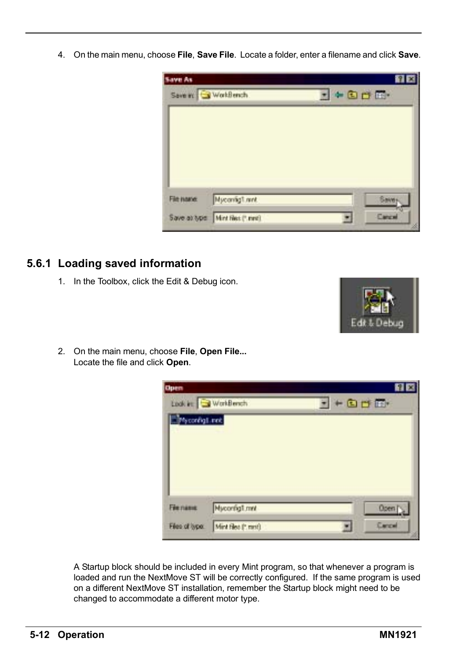4. On the main menu, choose **File**, **Save File**. Locate a folder, enter a filename and click **Save**.



#### **5.6.1 Loading saved information**

1. In the Toolbox, click the Edit & Debug icon.



2. On the main menu, choose **File**, **Open File...** Locate the file and click **Open**.

| <b>Open</b>    |                    |                    |
|----------------|--------------------|--------------------|
|                | Look in: WorkBench | $- + 0$            |
| Mycordig1.inct |                    |                    |
|                |                    |                    |
|                |                    |                    |
|                |                    |                    |
|                |                    |                    |
|                |                    |                    |
| Filemanue      | Myconfig1.mnt      | Open <sub>[3</sub> |

A Startup block should be included in every Mint program, so that whenever a program is loaded and run the NextMove ST will be correctly configured. If the same program is used on a different NextMove ST installation, remember the Startup block might need to be changed to accommodate a different motor type.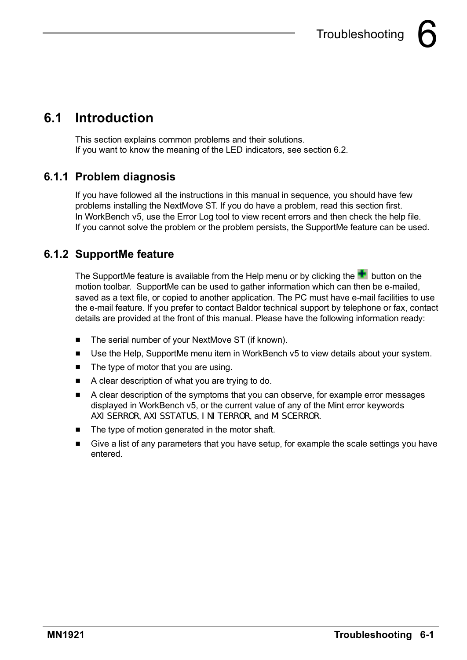## **6.1 Introduction**

This section explains common problems and their solutions. If you want to know the meaning of the LED indicators, see section 6.2.

### **6.1.1 Problem diagnosis**

If you have followed all the instructions in this manual in sequence, you should have few problems installing the NextMove ST. If you do have a problem, read this section first. In WorkBench v5, use the Error Log tool to view recent errors and then check the help file. If you cannot solve the problem or the problem persists, the SupportMe feature can be used.

## **6.1.2 SupportMe feature**

The SupportMe feature is available from the Help menu or by clicking the  $\pm$  button on the motion toolbar. SupportMe can be used to gather information which can then be e-mailed, saved as a text file, or copied to another application. The PC must have e-mail facilities to use the e-mail feature. If you prefer to contact Baldor technical support by telephone or fax, contact details are provided at the front of this manual. Please have the following information ready:

- The serial number of your NextMove ST (if known).
- Use the Help, SupportMe menu item in WorkBench v5 to view details about your system.
- $\blacksquare$  The type of motor that you are using.
- A clear description of what you are trying to do.
- $\blacksquare$  A clear description of the symptoms that you can observe, for example error messages displayed in WorkBench v5, or the current value of any of the Mint error keywords AXI SERROR, AXI SSTATUS, I NI TERROR, and MI SCERROR.
- The type of motion generated in the motor shaft.
- Give a list of any parameters that you have setup, for example the scale settings you have entered.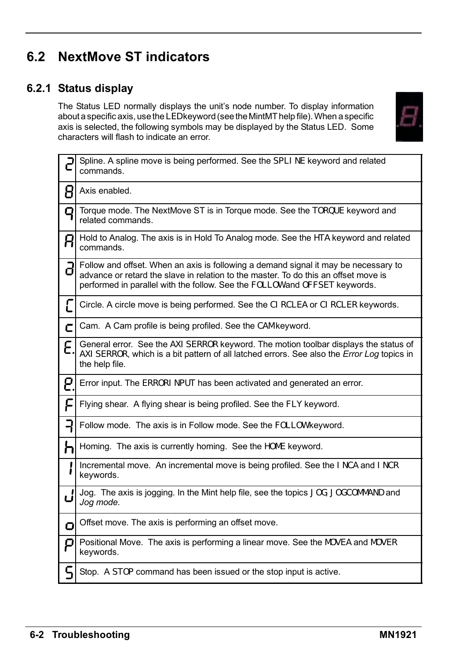## **6.2 NextMove ST indicators**

#### **6.2.1 Status display**

The Status LED normally displays the unit's node number. To display information about a specific axis, use theLED keyword (see the MintMT help file).When a specific axis is selected, the following symbols may be displayed by the Status LED. Some characters will flash to indicate an error.



|    | Spline. A spline move is being performed. See the SPLI NE keyword and related<br>commands.                                                                                                                                                               |
|----|----------------------------------------------------------------------------------------------------------------------------------------------------------------------------------------------------------------------------------------------------------|
|    | Axis enabled.                                                                                                                                                                                                                                            |
| Q  | Torque mode. The NextMove ST is in Torque mode. See the TORQUE keyword and<br>related commands.                                                                                                                                                          |
| R  | Hold to Analog. The axis is in Hold To Analog mode. See the HTA keyword and related<br>commands.                                                                                                                                                         |
| д  | Follow and offset. When an axis is following a demand signal it may be necessary to<br>advance or retard the slave in relation to the master. To do this an offset move is<br>performed in parallel with the follow. See the FOLLOW and OFFSET keywords. |
| C  | Circle. A circle move is being performed. See the CI RCLEA or CI RCLER keywords.                                                                                                                                                                         |
| с  | Cam. A Cam profile is being profiled. See the CAM keyword.                                                                                                                                                                                               |
| Ē. | General error. See the AXI SERROR keyword. The motion toolbar displays the status of<br>AXI SERROR, which is a bit pattern of all latched errors. See also the <i>Error Log</i> topics in<br>the help file.                                              |
| 5. | Error input. The ERRORI NPUT has been activated and generated an error.                                                                                                                                                                                  |
| F  | Flying shear. A flying shear is being profiled. See the FLY keyword.                                                                                                                                                                                     |
|    | Follow mode. The axis is in Follow mode. See the FOLLOW keyword.                                                                                                                                                                                         |
| Ⴙ  | Homing. The axis is currently homing. See the HOME keyword.                                                                                                                                                                                              |
|    | Incremental move. An incremental move is being profiled. See the INCA and INCR<br>keywords.                                                                                                                                                              |
| ப  | Jog. The axis is jogging. In the Mint help file, see the topics JOG, JOGCOMMAND and<br>Jog mode.                                                                                                                                                         |
| ο  | Offset move. The axis is performing an offset move.                                                                                                                                                                                                      |
| Ρ  | Positional Move. The axis is performing a linear move. See the MOVEA and MOVER<br>keywords.                                                                                                                                                              |
| ς  | Stop. A STOP command has been issued or the stop input is active.                                                                                                                                                                                        |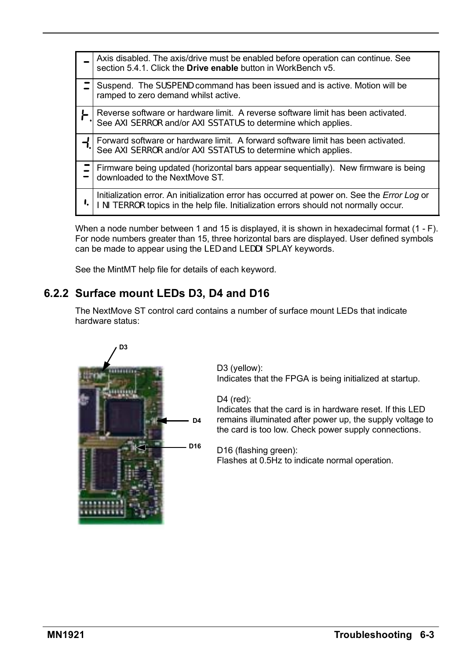|    | Axis disabled. The axis/drive must be enabled before operation can continue. See<br>section 5.4.1. Click the <b>Drive enable</b> button in WorkBench v5.                                     |
|----|----------------------------------------------------------------------------------------------------------------------------------------------------------------------------------------------|
|    | Suspend. The SUSPEND command has been issued and is active. Motion will be<br>ramped to zero demand whilst active.                                                                           |
|    | Reverse software or hardware limit. A reverse software limit has been activated.<br>See AXI SERROR and/or AXI SSTATUS to determine which applies.                                            |
|    | Forward software or hardware limit. A forward software limit has been activated.<br>See AXI SERROR and/or AXI SSTATUS to determine which applies.                                            |
|    | Firmware being updated (horizontal bars appear sequentially). New firmware is being<br>downloaded to the NextMove ST.                                                                        |
| I, | Initialization error. An initialization error has occurred at power on. See the <i>Error Log</i> or<br>I NI TERROR topics in the help file. Initialization errors should not normally occur. |

When a node number between 1 and 15 is displayed, it is shown in hexadecimal format (1 - F). For node numbers greater than 15, three horizontal bars are displayed. User defined symbols can be made to appear using the LED and LEDDISPLAY keywords.

See the MintMT help file for details of each keyword.

#### **6.2.2 Surface mount LEDs D3, D4 and D16**

The NextMove ST control card contains a number of surface mount LEDs that indicate hardware status:



D3 (yellow): Indicates that the FPGA is being initialized at startup.

D4 (red):

Indicates that the card is in hardware reset. If this LED remains illuminated after power up, the supply voltage to the card is too low. Check power supply connections.

D16 (flashing green):

Flashes at 0.5Hz to indicate normal operation.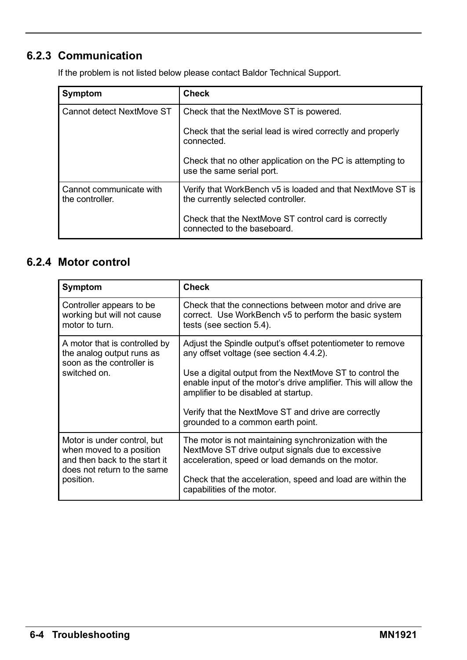### **6.2.3 Communication**

If the problem is not listed below please contact Baldor Technical Support.

| Symptom                                    | <b>Check</b>                                                                                     |
|--------------------------------------------|--------------------------------------------------------------------------------------------------|
| Cannot detect NextMove ST                  | Check that the NextMove ST is powered.                                                           |
|                                            | Check that the serial lead is wired correctly and properly<br>connected.                         |
|                                            | Check that no other application on the PC is attempting to<br>use the same serial port.          |
| Cannot communicate with<br>the controller. | Verify that WorkBench v5 is loaded and that NextMove ST is<br>the currently selected controller. |
|                                            | Check that the NextMove ST control card is correctly<br>connected to the baseboard.              |

### **6.2.4 Motor control**

| Symptom                                                                                                 | <b>Check</b>                                                                                                                                                                                                                                                                                                                                                              |
|---------------------------------------------------------------------------------------------------------|---------------------------------------------------------------------------------------------------------------------------------------------------------------------------------------------------------------------------------------------------------------------------------------------------------------------------------------------------------------------------|
| Controller appears to be.                                                                               | Check that the connections between motor and drive are                                                                                                                                                                                                                                                                                                                    |
| working but will not cause                                                                              | correct. Use WorkBench v5 to perform the basic system                                                                                                                                                                                                                                                                                                                     |
| motor to turn.                                                                                          | tests (see section 5.4).                                                                                                                                                                                                                                                                                                                                                  |
| A motor that is controlled by<br>the analog output runs as<br>soon as the controller is<br>switched on. | Adjust the Spindle output's offset potentiometer to remove<br>any offset voltage (see section 4.4.2).<br>Use a digital output from the NextMove ST to control the<br>enable input of the motor's drive amplifier. This will allow the<br>amplifier to be disabled at startup.<br>Verify that the NextMove ST and drive are correctly<br>grounded to a common earth point. |
| Motor is under control, but                                                                             | The motor is not maintaining synchronization with the                                                                                                                                                                                                                                                                                                                     |
| when moved to a position                                                                                | NextMove ST drive output signals due to excessive                                                                                                                                                                                                                                                                                                                         |
| and then back to the start it                                                                           | acceleration, speed or load demands on the motor.                                                                                                                                                                                                                                                                                                                         |
| does not return to the same                                                                             | Check that the acceleration, speed and load are within the                                                                                                                                                                                                                                                                                                                |
| position.                                                                                               | capabilities of the motor.                                                                                                                                                                                                                                                                                                                                                |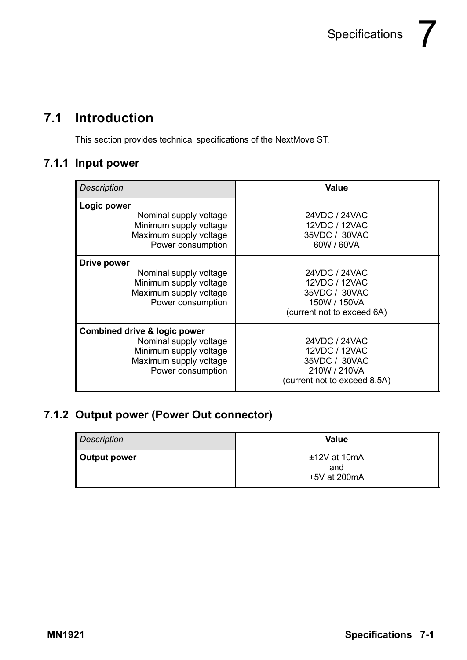## **7.1 Introduction**

This section provides technical specifications of the NextMove ST.

#### **7.1.1 Input power**

| <b>Description</b>                                                                                             | Value                                                         |
|----------------------------------------------------------------------------------------------------------------|---------------------------------------------------------------|
| Logic power<br>Nominal supply voltage<br>Minimum supply voltage<br>Maximum supply voltage<br>Power consumption | 24VDC / 24VAC<br>12VDC / 12VAC<br>35VDC / 30VAC<br>60W / 60VA |
| Drive power                                                                                                    | 24VDC / 24VAC                                                 |
| Nominal supply voltage                                                                                         | 12VDC / 12VAC                                                 |
| Minimum supply voltage                                                                                         | 35VDC / 30VAC                                                 |
| Maximum supply voltage                                                                                         | 150W / 150VA                                                  |
| Power consumption                                                                                              | (current not to exceed 6A)                                    |
| Combined drive & logic power                                                                                   | 24VDC / 24VAC                                                 |
| Nominal supply voltage                                                                                         | 12VDC / 12VAC                                                 |
| Minimum supply voltage                                                                                         | 35VDC / 30VAC                                                 |
| Maximum supply voltage                                                                                         | 210W / 210VA                                                  |
| Power consumption                                                                                              | (current not to exceed 8.5A)                                  |

### **7.1.2 Output power (Power Out connector)**

| <b>Description</b> | Value                                 |
|--------------------|---------------------------------------|
| Output power       | $±12V$ at 10mA<br>and<br>+5V at 200mA |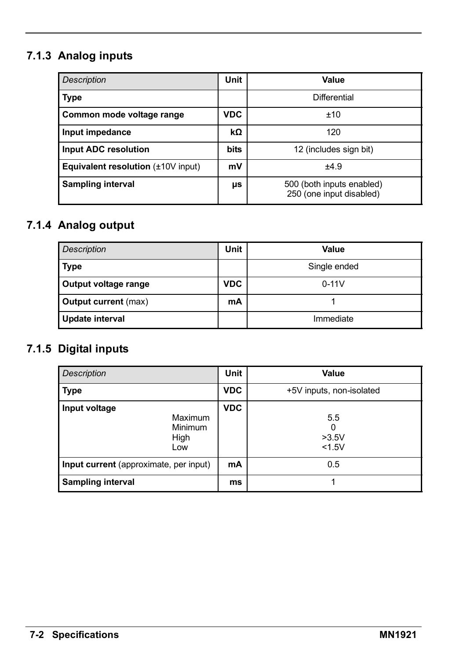## **7.1.3 Analog inputs**

| <b>Description</b>                      | Unit        | Value                                                 |
|-----------------------------------------|-------------|-------------------------------------------------------|
| <b>Type</b>                             |             | Differential                                          |
| Common mode voltage range               | <b>VDC</b>  | ±10                                                   |
| Input impedance                         | kΩ          | 120                                                   |
| Input ADC resolution                    | <b>bits</b> | 12 (includes sign bit)                                |
| Equivalent resolution $(\pm 10V$ input) | mV          | ±4.9                                                  |
| <b>Sampling interval</b>                | μs          | 500 (both inputs enabled)<br>250 (one input disabled) |

## **7.1.4 Analog output**

| <b>Description</b>   | Unit       | Value        |
|----------------------|------------|--------------|
| Type                 |            | Single ended |
| Output voltage range | <b>VDC</b> | $0 - 11V$    |
| Output current (max) | mA         |              |
| Update interval      |            | Immediate    |

## **7.1.5 Digital inputs**

| <b>Description</b>                                 | Unit       | Value                       |
|----------------------------------------------------|------------|-----------------------------|
| <b>Type</b>                                        | <b>VDC</b> | +5V inputs, non-isolated    |
| Input voltage<br>Maximum<br>Minimum<br>High<br>Low | <b>VDC</b> | 5.5<br>0<br>>3.5V<br>< 1.5V |
| Input current (approximate, per input)             | mA         | 0.5                         |
| <b>Sampling interval</b>                           | ms         |                             |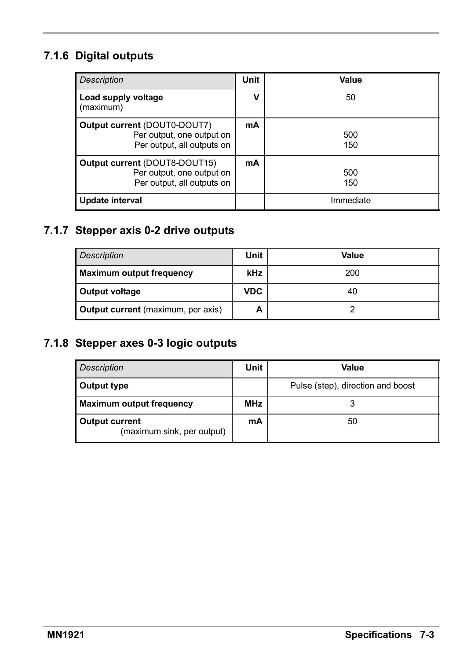### **7.1.6 Digital outputs**

| <b>Description</b>                                                                              | Unit | Value      |
|-------------------------------------------------------------------------------------------------|------|------------|
| Load supply voltage<br>(maximum)                                                                | ν    | 50         |
| Output current (DOUT0-DOUT7)<br>Per output, one output on<br>Per output, all outputs on         | mA   | 500<br>150 |
| <b>Output current (DOUT8-DOUT15)</b><br>Per output, one output on<br>Per output, all outputs on | mA   | 500<br>150 |
| Update interval                                                                                 |      | Immediate  |

### **7.1.7 Stepper axis 0-2 drive outputs**

| <b>Description</b>                        | Unit       | Value |
|-------------------------------------------|------------|-------|
| <b>Maximum output frequency</b>           | <b>kHz</b> | 200   |
| Output voltage                            | <b>VDC</b> | 40    |
| <b>Output current</b> (maximum, per axis) | А          |       |

### **7.1.8 Stepper axes 0-3 logic outputs**

| <b>Description</b>                           | Unit       | Value                             |
|----------------------------------------------|------------|-----------------------------------|
| Output type                                  |            | Pulse (step), direction and boost |
| Maximum output frequency                     | <b>MHz</b> |                                   |
| Output current<br>(maximum sink, per output) | mA         | 50                                |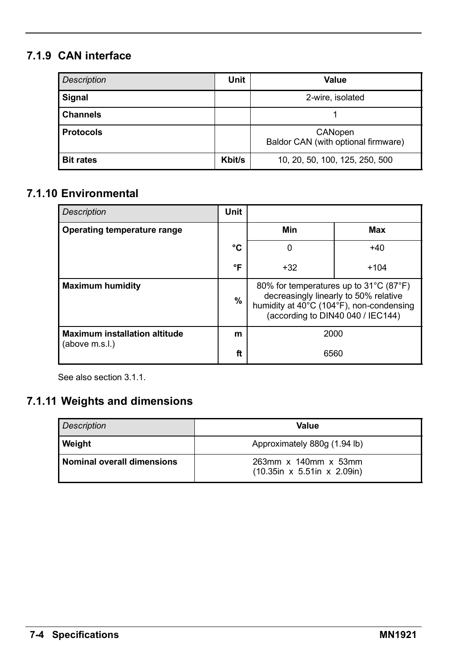## **7.1.9 CAN interface**

| <b>Description</b> | <b>Unit</b> | Value                                          |
|--------------------|-------------|------------------------------------------------|
| Signal             |             | 2-wire, isolated                               |
| <b>Channels</b>    |             |                                                |
| <b>Protocols</b>   |             | CANopen<br>Baldor CAN (with optional firmware) |
| <b>Bit rates</b>   | Kbit/s      | 10, 20, 50, 100, 125, 250, 500                 |

#### **7.1.10 Environmental**

| <b>Description</b>                                     | <b>Unit</b> |                                                                                                                                                                  |        |
|--------------------------------------------------------|-------------|------------------------------------------------------------------------------------------------------------------------------------------------------------------|--------|
| Operating temperature range                            |             | Min                                                                                                                                                              | Max    |
|                                                        | °C          | 0                                                                                                                                                                | $+40$  |
|                                                        | °F          | $+32$                                                                                                                                                            | $+104$ |
| <b>Maximum humidity</b>                                | %           | 80% for temperatures up to 31°C (87°F)<br>decreasingly linearly to 50% relative<br>humidity at 40°C (104°F), non-condensing<br>(according to DIN40 040 / IEC144) |        |
| <b>Maximum installation altitude</b><br>(above m.s.l.) | m           | 2000                                                                                                                                                             |        |
|                                                        | ft          | 6560                                                                                                                                                             |        |

See also section 3.1.1.

### **7.1.11 Weights and dimensions**

| <b>Description</b>                | Value                                               |
|-----------------------------------|-----------------------------------------------------|
| <b>Weight</b>                     | Approximately 880g (1.94 lb)                        |
| <b>Nominal overall dimensions</b> | 263mm x 140mm x 53mm<br>(10.35in x 5.51in x 2.09in) |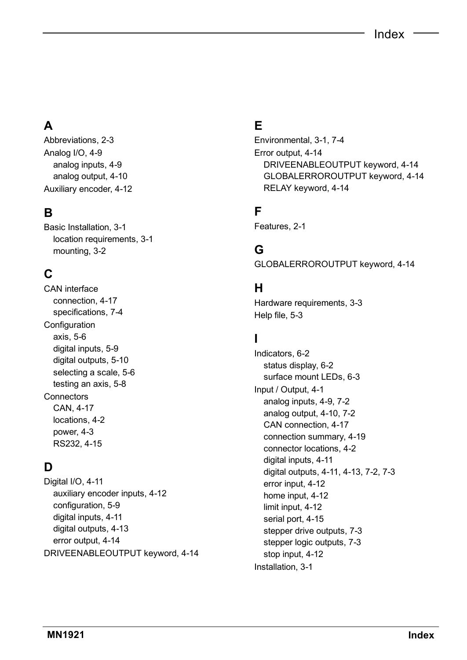## **A**

Abbreviations, 2-3 Analog I/O, 4-9 analog inputs, 4-9 analog output, 4-10 Auxiliary encoder, 4-12

### **B**

Basic Installation, 3-1 location requirements, 3-1 mounting, 3-2

## **C**

CAN interface connection, 4-17 specifications, 7-4 Configuration axis, 5-6 digital inputs, 5-9 digital outputs, 5-10 selecting a scale, 5-6 testing an axis, 5-8 **Connectors** CAN, 4-17 locations, 4-2 power, 4-3 RS232, 4-15

### **D**

Digital I/O, 4-11 auxiliary encoder inputs, 4-12 configuration, 5-9 digital inputs, 4-11 digital outputs, 4-13 error output, 4-14 DRIVEENABLEOUTPUT keyword, 4-14

### **E**

Environmental, 3-1, 7-4 Error output, 4-14 DRIVEENABLEOUTPUT keyword, 4-14 GLOBALERROROUTPUT keyword, 4-14 RELAY keyword, 4-14

### **F**

Features, 2-1

#### **G**

GLOBALERROROUTPUT keyword, 4-14

#### **H**

Hardware requirements, 3-3 Help file, 5-3

#### **I**

Indicators, 6-2 status display, 6-2 surface mount LEDs, 6-3 Input / Output, 4-1 analog inputs, 4-9, 7-2 analog output, 4-10, 7-2 CAN connection, 4-17 connection summary, 4-19 connector locations, 4-2 digital inputs, 4-11 digital outputs, 4-11, 4-13, 7-2, 7-3 error input, 4-12 home input, 4-12 limit input, 4-12 serial port, 4-15 stepper drive outputs, 7-3 stepper logic outputs, 7-3 stop input, 4-12 Installation, 3-1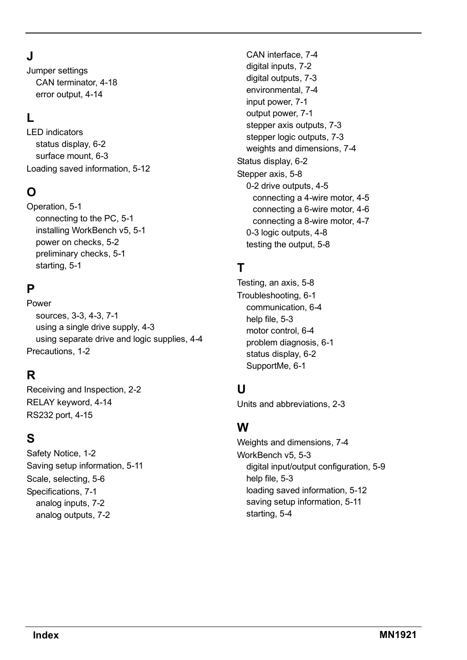## **J**

Jumper settings CAN terminator, 4-18 error output, 4-14

#### **L**

LED indicators status display, 6-2 surface mount, 6-3 Loading saved information, 5-12

#### **O**

Operation, 5-1 connecting to the PC, 5-1 installing WorkBench v5, 5-1 power on checks, 5-2 preliminary checks, 5-1 starting, 5-1

### **P**

Power sources, 3-3, 4-3, 7-1 using a single drive supply, 4-3 using separate drive and logic supplies, 4-4 Precautions, 1-2

### **R**

Receiving and Inspection, 2-2 RELAY keyword, 4-14 RS232 port, 4-15

### **S**

Safety Notice, 1-2 Saving setup information, 5-11 Scale, selecting, 5-6 Specifications, 7-1 analog inputs, 7-2 analog outputs, 7-2

CAN interface, 7-4 digital inputs, 7-2 digital outputs, 7-3 environmental, 7-4 input power, 7-1 output power, 7-1 stepper axis outputs, 7-3 stepper logic outputs, 7-3 weights and dimensions, 7-4 Status display, 6-2 Stepper axis, 5-8 0-2 drive outputs, 4-5 connecting a 4-wire motor, 4-5 connecting a 6-wire motor, 4-6 connecting a 8-wire motor, 4-7 0-3 logic outputs, 4-8 testing the output, 5-8

## **T**

Testing, an axis, 5-8 Troubleshooting, 6-1 communication, 6-4 help file, 5-3 motor control, 6-4 problem diagnosis, 6-1 status display, 6-2 SupportMe, 6-1

### **U**

Units and abbreviations, 2-3

### **W**

Weights and dimensions, 7-4 WorkBench v5, 5-3 digital input/output configuration, 5-9 help file, 5-3 loading saved information, 5-12 saving setup information, 5-11 starting, 5-4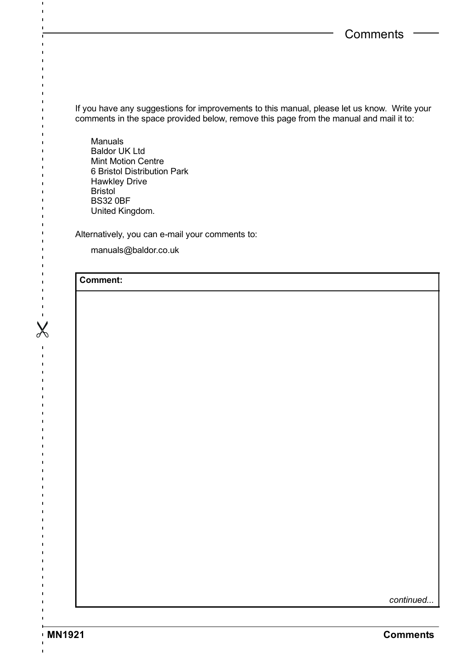If you have any suggestions for improvements to this manual, please let us know. Write your comments in the space provided below, remove this page from the manual and mail it to:

Manuals Baldor UK Ltd Mint Motion Centre 6 Bristol Distribution Park Hawkley Drive Bristol BS32 0BF United Kingdom.

Alternatively, you can e-mail your comments to:

manuals@baldor.co.uk

#### **Comment:**

 $\blacksquare$  $\mathbf{I}$ 

> ń  $\blacksquare$

Ï ń

ń

 $\mathbf{I}$  $\blacksquare$ 

**X------**

 $\begin{array}{c} 1 \\ 1 \\ 1 \end{array}$  $\frac{1}{1}$  $\mathbf{I}$  $\ddot{\phantom{a}}$  $\mathbf{r}$  $\mathbf{I}$  $\blacksquare$  $\ddot{\phantom{a}}$  $\mathbf{I}$  $\mathbf{I}$  $\blacksquare$  $\overline{\phantom{a}}$  $\overline{\phantom{a}}$  $\blacksquare$ Ĭ  $\overline{1}$ ĭ í ï t

*continued...*

ï ĭ

 $\blacksquare$  $\overline{1}$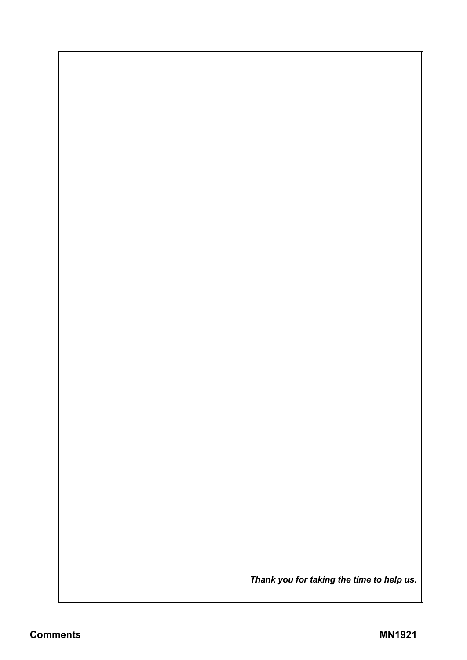*Thank you for taking the time to help us.*